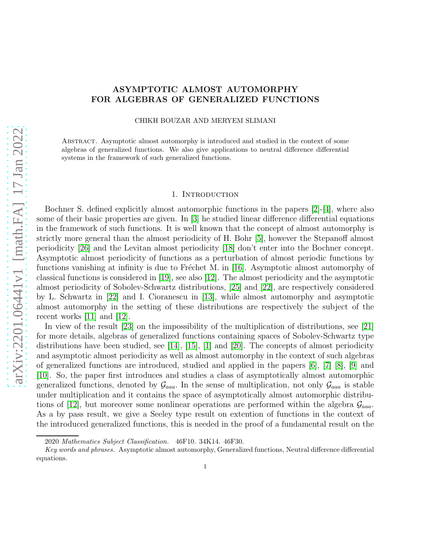# arXiv:2201.06441v1 [math.FA] 17 Jan 2022 [arXiv:2201.06441v1 \[math.FA\] 17 Jan 2022](http://arxiv.org/abs/2201.06441v1)

# ASYMPTOTIC ALMOST AUTOMORPHY FOR ALGEBRAS OF GENERALIZED FUNCTIONS

CHIKH BOUZAR AND MERYEM SLIMANI

Abstract. Asymptotic almost automorphy is introduced and studied in the context of some algebras of generalized functions. We also give applications to neutral difference differential systems in the framework of such generalized functions.

# 1. INTRODUCTION

Bochner S. defined explicitly almost automorphic functions in the papers [\[2\]](#page-17-0)-[\[4\]](#page-17-1), where also some of their basic properties are given. In [\[3\]](#page-17-2) he studied linear difference differential equations in the framework of such functions. It is well known that the concept of almost automorphy is strictly more general than the almost periodicity of H. Bohr [\[5\]](#page-17-3), however the Stepanoff almost periodicity [\[26\]](#page-18-0) and the Levitan almost periodicity [\[18\]](#page-18-1) don't enter into the Bochner concept. Asymptotic almost periodicity of functions as a perturbation of almost periodic functions by functions vanishing at infinity is due to Fréchet M. in [\[16\]](#page-18-2). Asymptotic almost automorphy of classical functions is considered in [\[19\]](#page-18-3), see also [\[12\]](#page-18-4). The almost periodicity and the asymptotic almost periodicity of Sobolev-Schwartz distributions, [\[25\]](#page-18-5) and [\[22\]](#page-18-6), are respectively considered by L. Schwartz in [\[22\]](#page-18-6) and I. Cioranescu in [\[13\]](#page-18-7), while almost automorphy and asymptotic almost automorphy in the setting of these distributions are respectively the subject of the recent works [\[11\]](#page-18-8) and [\[12\]](#page-18-4).

In view of the result [\[23\]](#page-18-9) on the impossibility of the multiplication of distributions, see [21] for more details, algebras of generalized functions containing spaces of Sobolev-Schwartz type distributions have been studied, see [\[14\]](#page-18-10), [\[15\]](#page-18-11), [\[1\]](#page-17-4) and [\[20\]](#page-18-12). The concepts of almost periodicity and asymptotic almost periodicity as well as almost automorphy in the context of such algebras of generalized functions are introduced, studied and applied in the papers [\[6\]](#page-17-5), [\[7\]](#page-17-6) [\[8\]](#page-17-7), [\[9\]](#page-17-8) and [\[10\]](#page-18-13). So, the paper first introduces and studies a class of asymptotically almost automorphic generalized functions, denoted by  $\mathcal{G}_{aaa}$ . In the sense of multiplication, not only  $\mathcal{G}_{aaa}$  is stable under multiplication and it contains the space of asymptotically almost automorphic distribu-tions of [\[12\]](#page-18-4), but moreover some nonlinear operations are performed within the algebra  $\mathcal{G}_{aaa}$ . As a by pass result, we give a Seeley type result on extention of functions in the context of the introduced generalized functions, this is needed in the proof of a fundamental result on the

<sup>2020</sup> Mathematics Subject Classification. 46F10. 34K14. 46F30.

Key words and phrases. Asymptotic almost automorphy, Generalized functions, Neutral difference differential equations.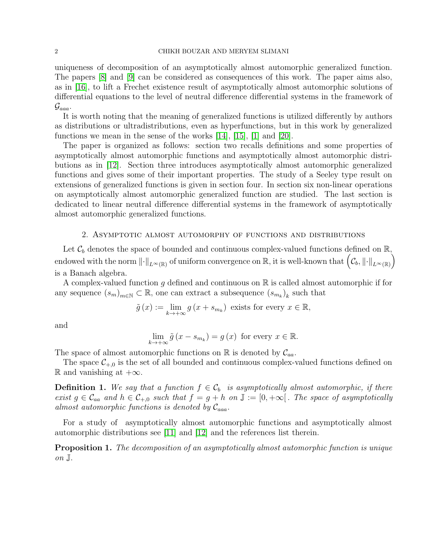uniqueness of decomposition of an asymptotically almost automorphic generalized function. The papers [\[8\]](#page-17-7) and [\[9\]](#page-17-8) can be considered as consequences of this work. The paper aims also, as in [\[16\]](#page-18-2), to lift a Frechet existence result of asymptotically almost automorphic solutions of differential equations to the level of neutral difference differential systems in the framework of  $\mathcal{G}_{aaa}$ .

It is worth noting that the meaning of generalized functions is utilized differently by authors as distributions or ultradistributions, even as hyperfunctions, but in this work by generalized functions we mean in the sense of the works [\[14\]](#page-18-10), [\[15\]](#page-18-11), [\[1\]](#page-17-4) and [\[20\]](#page-18-12).

The paper is organized as follows: section two recalls definitions and some properties of asymptotically almost automorphic functions and asymptotically almost automorphic distributions as in [\[12\]](#page-18-4). Section three introduces asymptotically almost automorphic generalized functions and gives some of their important properties. The study of a Seeley type result on extensions of generalized functions is given in section four. In section six non-linear operations on asymptotically almost automorphic generalized function are studied. The last section is dedicated to linear neutral difference differential systems in the framework of asymptotically almost automorphic generalized functions.

# 2. Asymptotic almost automorphy of functions and distributions

Let  $\mathcal{C}_b$  denotes the space of bounded and continuous complex-valued functions defined on  $\mathbb{R}$ , endowed with the norm  $\|\cdot\|_{L^\infty(\mathbb{R})}$  of uniform convergence on  $\mathbb{R}$ , it is well-known that  $(\mathcal{C}_b, \|\cdot\|_{L^\infty(\mathbb{R})})$ is a Banach algebra.

A complex-valued function q defined and continuous on  $\mathbb R$  is called almost automorphic if for any sequence  $(s_m)_{m \in \mathbb{N}} \subset \mathbb{R}$ , one can extract a subsequence  $(s_{m_k})_k$  such that

$$
\tilde{g}(x) := \lim_{k \to +\infty} g(x + s_{m_k})
$$
 exists for every  $x \in \mathbb{R}$ ,

and

$$
\lim_{k \to +\infty} \tilde{g}\left(x - s_{m_k}\right) = g\left(x\right) \text{ for every } x \in \mathbb{R}.
$$

The space of almost automorphic functions on  $\mathbb R$  is denoted by  $\mathcal{C}_{aa}$ .

The space  $\mathcal{C}_{+,0}$  is the set of all bounded and continuous complex-valued functions defined on R and vanishing at  $+∞$ .

**Definition 1.** We say that a function  $f \in C_b$  is asymptotically almost automorphic, if there exist  $g \in \mathcal{C}_{aa}$  and  $h \in \mathcal{C}_{+,0}$  such that  $f = g + h$  on  $\mathbb{J} := [0, +\infty[$ . The space of asymptotically almost automorphic functions is denoted by  $\mathcal{C}_{aaa}$ .

For a study of asymptotically almost automorphic functions and asymptotically almost automorphic distributions see [\[11\]](#page-18-8) and [\[12\]](#page-18-4) and the references list therein.

Proposition 1. The decomposition of an asymptotically almost automorphic function is unique on J.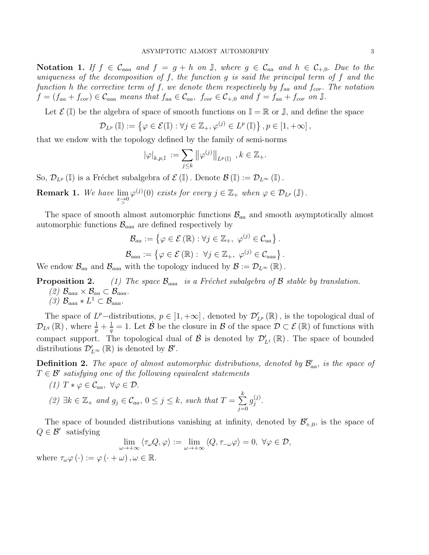Notation 1. If  $f \in \mathcal{C}_{aaa}$  and  $f = g + h$  on  $\mathbb{J}$ , where  $g \in \mathcal{C}_{aa}$  and  $h \in \mathcal{C}_{+,0}$ . Due to the uniqueness of the decomposition of  $f$ , the function  $g$  is said the principal term of  $f$  and the function h the corrective term of f, we denote them respectively by  $f_{aa}$  and  $f_{cor}$ . The notation  $f = (f_{aa} + f_{cor}) \in \mathcal{C}_{aaa}$  means that  $f_{aa} \in \mathcal{C}_{aa}$ ,  $f_{cor} \in \mathcal{C}_{+,0}$  and  $f = f_{aa} + f_{cor}$  on J.

Let  $\mathcal{E}(\mathbb{I})$  be the algebra of space of smooth functions on  $\mathbb{I} = \mathbb{R}$  or  $\mathbb{J}$ , and define the space

$$
\mathcal{D}_{L^p}(\mathbb{I}) := \left\{ \varphi \in \mathcal{E}(\mathbb{I}) : \forall j \in \mathbb{Z}_+, \varphi^{(j)} \in L^p(\mathbb{I}) \right\}, p \in [1, +\infty],
$$

that we endow with the topology defined by the family of semi-norms

$$
|\varphi|_{k,p,{\mathbb{I}}} \> := \sum_{j\leq k} \big\| \varphi^{(j)} \big\|_{L^p({\mathbb{I}})} \>\>, k\in {\mathbb{Z}}_+.
$$

So,  $\mathcal{D}_{L^p}(\mathbb{I})$  is a Fréchet subalgebra of  $\mathcal{E}(\mathbb{I})$ . Denote  $\mathcal{B}(\mathbb{I}) := \mathcal{D}_{L^{\infty}}(\mathbb{I})$ .

**Remark 1.** We have  $\lim_{x\to 0} \varphi^{(j)}(0)$  exists for every  $j \in \mathbb{Z}_+$  when  $\varphi \in \mathcal{D}_{L^p}(\mathbb{J})$ .

The space of smooth almost automorphic functions  $\mathcal{B}_{aa}$  and smooth asymptotically almost automorphic functions  $\mathcal{B}_{aaa}$  are defined respectively by

$$
\mathcal{B}_{aa} := \{ \varphi \in \mathcal{E}(\mathbb{R}) : \forall j \in \mathbb{Z}_+, \varphi^{(j)} \in \mathcal{C}_{aa} \}.
$$
  

$$
\mathcal{B}_{aaa} := \{ \varphi \in \mathcal{E}(\mathbb{R}) : \ \forall j \in \mathbb{Z}_+, \ \varphi^{(j)} \in \mathcal{C}_{aaa} \}.
$$

We endow  $\mathcal{B}_{aa}$  and  $\mathcal{B}_{aaa}$  with the topology induced by  $\mathcal{B} := \mathcal{D}_{L^{\infty}}(\mathbb{R})$ .

**Proposition 2.** (1) The space  $\mathcal{B}_{aaa}$  is a Fréchet subalgebra of B stable by translation. (2)  $\mathcal{B}_{aaa} \times \mathcal{B}_{aa} \subset \mathcal{B}_{aaa}.$ (3)  $\mathcal{B}_{aaa} * L^1 \subset \mathcal{B}_{aaa}.$ 

The space of  $L^p$ -distributions,  $p \in [1, +\infty]$ , denoted by  $\mathcal{D}'_{L^p}(\mathbb{R})$ , is the topological dual of  $\mathcal{D}_{L^{q}}(\mathbb{R})$ , where  $\frac{1}{p}+\frac{1}{q}$  $\frac{1}{q} = 1$ . Let  $\dot{\mathcal{B}}$  be the closure in  $\mathcal{B}$  of the space  $\mathcal{D} \subset \mathcal{E}(\mathbb{R})$  of functions with compact support. The topological dual of  $\dot{\mathcal{B}}$  is denoted by  $\mathcal{D}'_{L^1}(\mathbb{R})$ . The space of bounded distributions  $\mathcal{D}'_{L^{\infty}}(\mathbb{R})$  is denoted by  $\mathcal{B}'$ .

**Definition 2.** The space of almost automorphic distributions, denoted by  $\mathcal{B}'_{aa}$ , is the space of  $T \in \mathcal{B}'$  satisfying one of the following equivalent statements

- (1)  $T * \varphi \in \mathcal{C}_{aa}, \forall \varphi \in \mathcal{D}.$
- (2)  $\exists k \in \mathbb{Z}_+$  and  $g_j \in \mathcal{C}_{aa}$ ,  $0 \leq j \leq k$ , such that  $T = \sum_{i=1}^{k}$  $j=0$  $g^{(j)}_i$ j .

The space of bounded distributions vanishing at infinity, denoted by  $\mathcal{B}'_{+,0}$ , is the space of  $Q \in \mathcal{B}'$  satisfying

$$
\lim_{\omega \to +\infty} \langle \tau_{\omega} Q, \varphi \rangle := \lim_{\omega \to +\infty} \langle Q, \tau_{-\omega} \varphi \rangle = 0, \ \forall \varphi \in \mathcal{D},
$$

where  $\tau_{\omega}\varphi(\cdot) := \varphi(\cdot + \omega), \omega \in \mathbb{R}$ .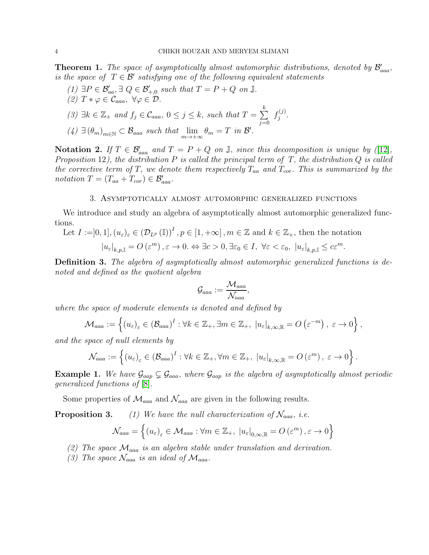**Theorem 1.** The space of asymptotically almost automorphic distributions, denoted by  $\mathcal{B}'_{aaa}$ , is the space of  $T \in \mathcal{B}'$  satisfying one of the following equivalent statements

(1)  $\exists P \in \mathcal{B}'_{aa}, \exists Q \in \mathcal{B}'_{+,0}$  such that  $T = P + Q$  on  $\mathbb{J}$ . (2)  $T * \varphi \in \mathcal{C}_{aaa}$ ,  $\forall \varphi \in \mathcal{D}$ . (3)  $\exists k \in \mathbb{Z}_+$  and  $f_j \in \mathcal{C}_{aaa}$ ,  $0 \leq j \leq k$ , such that  $T = \sum_{i=1}^{k}$  $j=0$  $f_i^{(j)}$ j .  $(4) \exists (\theta_m)_{m \in \mathbb{N}} \subset \mathcal{B}_{aaa} \text{ such that } \lim_{m \to +\infty} \theta_m = T \text{ in } \mathcal{B}'.$ 

Notation 2. If  $T \in \mathcal{B}'_{aaa}$  and  $T = P + Q$  on  $\mathbb{J}$ , since this decomposition is unique by ([\[12\]](#page-18-4), Proposition 12), the distribution  $P$  is called the principal term of  $T$ , the distribution  $Q$  is called the corrective term of T, we denote them respectively  $T_{aa}$  and  $T_{cor}$ . This is summarized by the notation  $T = (T_{aa} + T_{cor}) \in \mathcal{B}_{aaa}'.$ 

# 3. Asymptotically almost automorphic generalized functions

We introduce and study an algebra of asymptotically almost automorphic generalized functions.

Let 
$$
I := ]0, 1]
$$
,  $(u_{\varepsilon})_{\varepsilon} \in (\mathcal{D}_{L^p}(\mathbb{I}))^I$ ,  $p \in [1, +\infty]$ ,  $m \in \mathbb{Z}$  and  $k \in \mathbb{Z}_+$ , then the notation  $|u_{\varepsilon}|_{k,p,\mathbb{I}} = O(\varepsilon^m)$ ,  $\varepsilon \to 0$ .  $\Leftrightarrow \exists c > 0, \exists \varepsilon_0 \in I$ ,  $\forall \varepsilon < \varepsilon_0$ ,  $|u_{\varepsilon}|_{k,p,\mathbb{I}} \le c\varepsilon^m$ .

Definition 3. The algebra of asymptotically almost automorphic generalized functions is denoted and defined as the quotient algebra

$$
\mathcal{G}_{aaa}:=\frac{\mathcal{M}_{aaa}}{\mathcal{N}_{aaa}},
$$

where the space of moderate elements is denoted and defined by

$$
\mathcal{M}_{aaa} := \left\{ (u_{\varepsilon})_{\varepsilon} \in (\mathcal{B}_{aaa})^I : \forall k \in \mathbb{Z}_+, \exists m \in \mathbb{Z}_+, \ |u_{\varepsilon}|_{k,\infty,\mathbb{R}} = O\left(\varepsilon^{-m}\right), \ \varepsilon \to 0 \right\},\
$$

and the space of null elements by

$$
\mathcal{N}_{aaa} := \left\{ (u_{\varepsilon})_{\varepsilon} \in (\mathcal{B}_{aaa})^I : \forall k \in \mathbb{Z}_+, \forall m \in \mathbb{Z}_+, \ |u_{\varepsilon}|_{k,\infty,\mathbb{R}} = O(\varepsilon^m), \ \varepsilon \to 0 \right\}.
$$

**Example 1.** We have  $\mathcal{G}_{aap} \subsetneq \mathcal{G}_{aaa}$ , where  $\mathcal{G}_{aap}$  is the algebra of asymptotically almost periodic generalized functions of [\[8\]](#page-17-7).

Some properties of  $\mathcal{M}_{aaa}$  and  $\mathcal{N}_{aaa}$  are given in the following results.

**Proposition 3.** (1) We have the null characterization of  $\mathcal{N}_{aaa}$ , i.e.

$$
\mathcal{N}_{aaa}=\left\{\left(u_{\varepsilon}\right)_{\varepsilon}\in\mathcal{M}_{aaa}: \forall m\in\mathbb{Z}_+,\ \left|u_{\varepsilon}\right|_{0,\infty,\mathbb{R}}=O\left(\varepsilon^m\right), \varepsilon\to 0\right\}
$$

- (2) The space  $\mathcal{M}_{aaa}$  is an algebra stable under translation and derivation.
- (3) The space  $\mathcal{N}_{aaa}$  is an ideal of  $\mathcal{M}_{aaa}$ .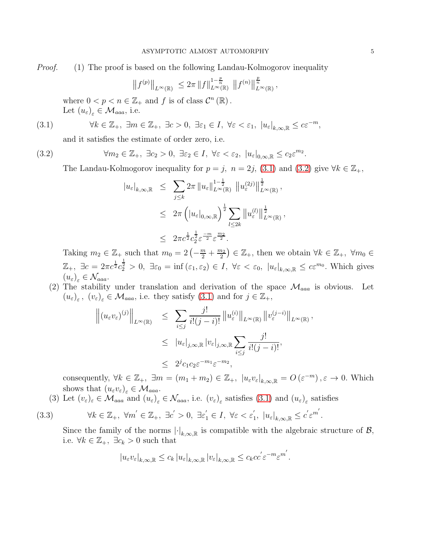*Proof.* (1) The proof is based on the following Landau-Kolmogorov inequality

$$
||f^{(p)}||_{L^{\infty}(\mathbb{R})} \leq 2\pi ||f||_{L^{\infty}(\mathbb{R})}^{1-\frac{p}{n}} ||f^{(n)}||_{L^{\infty}(\mathbb{R})}^{\frac{p}{n}},
$$

where  $0 < p < n \in \mathbb{Z}_+$  and f is of class  $\mathcal{C}^n(\mathbb{R})$ . Let  $(u_{\varepsilon})_{\varepsilon} \in \mathcal{M}_{aaa}$ , i.e.

(3.1) 
$$
\forall k \in \mathbb{Z}_+, \ \exists m \in \mathbb{Z}_+, \ \exists c > 0, \ \exists \varepsilon_1 \in I, \ \forall \varepsilon < \varepsilon_1, \ |u_{\varepsilon}|_{k, \infty, \mathbb{R}} \le c \varepsilon^{-m},
$$

<span id="page-4-0"></span>and it satisfies the estimate of order zero, i.e.

(3.2) 
$$
\forall m_2 \in \mathbb{Z}_+, \ \exists c_2 > 0, \ \exists \varepsilon_2 \in I, \ \forall \varepsilon < \varepsilon_2, \ |u_{\varepsilon}|_{0,\infty,\mathbb{R}} \le c_2 \varepsilon^{m_2}.
$$

The Landau-Kolmogorov inequality for  $p = j$ ,  $n = 2j$ ,  $(3.1)$  and  $(3.2)$  give  $\forall k \in \mathbb{Z}_+$ ,

<span id="page-4-1"></span>
$$
\begin{array}{lcl} |u_{\varepsilon}|_{k,\infty,\mathbb{R}} & \leq & \sum_{j\leq k} 2\pi \left\| u_{\varepsilon} \right\|_{L^{\infty}(\mathbb{R})}^{1-\frac{1}{2}} \left\| u_{\varepsilon}^{(2j)} \right\|_{L^{\infty}(\mathbb{R})}^{\frac{1}{2}}, \\ \\ & \leq & 2\pi \left( \left| u_{\varepsilon} \right|_{0,\infty,\mathbb{R}} \right)^{\frac{1}{2}} \sum_{l\leq 2k} \left\| u_{\varepsilon}^{(l)} \right\|_{L^{\infty}(\mathbb{R})}^{\frac{1}{2}}, \\ \\ & \leq & 2\pi c^{\frac{1}{2}} c_{2}^{\frac{1}{2}} \varepsilon^{\frac{-m}{2}} \varepsilon^{\frac{m_{2}}{2}}. \end{array}
$$

Taking  $m_2 \in \mathbb{Z}_+$  such that  $m_0 = 2\left(-\frac{m}{2} + \frac{m_2}{2}\right)$  $(\frac{n_2}{2}) \in \mathbb{Z}_+$ , then we obtain  $\forall k \in \mathbb{Z}_+$ ,  $\forall m_0 \in$  $\mathbb{Z}_+$ ,  $\exists c = 2\pi c^{\frac{1}{2}}c_2^{\frac{1}{2}} > 0$ ,  $\exists \varepsilon_0 = \inf (\varepsilon_1, \varepsilon_2) \in I$ ,  $\forall \varepsilon < \varepsilon_0$ ,  $|u_{\varepsilon}|_{k,\infty,\mathbb{R}} \le c\varepsilon^{m_0}$ . Which gives  $(u_{\varepsilon})_{\varepsilon} \in \mathcal{N}_{aaa}.$ 

(2) The stability under translation and derivation of the space  $\mathcal{M}_{aaa}$  is obvious. Let  $(u_{\varepsilon})_{\varepsilon}, (v_{\varepsilon})_{\varepsilon} \in \mathcal{M}_{aaaa}$ , i.e. they satisfy  $(3.1)$  and for  $j \in \mathbb{Z}_{+}$ ,

,

$$
\left\| (u_{\varepsilon}v_{\varepsilon})^{(j)} \right\|_{L^{\infty}(\mathbb{R})} \leq \sum_{i \leq j} \frac{j!}{i!(j-i)!} \left\| u_{\varepsilon}^{(i)} \right\|_{L^{\infty}(\mathbb{R})} \left\| v_{\varepsilon}^{(j-i)} \right\|_{L^{\infty}(\mathbb{R})}
$$
  

$$
\leq |u_{\varepsilon}|_{j,\infty,\mathbb{R}} |v_{\varepsilon}|_{j,\infty,\mathbb{R}} \sum_{i \leq j} \frac{j!}{i!(j-i)!},
$$
  

$$
\leq 2^{j}c_{1}c_{2}\varepsilon^{-m_{1}}\varepsilon^{-m_{2}},
$$

consequently,  $\forall k \in \mathbb{Z}_+$ ,  $\exists m = (m_1 + m_2) \in \mathbb{Z}_+$ ,  $|u_{\varepsilon}v_{\varepsilon}|_{k,\infty,\mathbb{R}} = O(\varepsilon^{-m})$ ,  $\varepsilon \to 0$ . Which shows that  $(u_{\varepsilon}v_{\varepsilon})_{\varepsilon} \in \mathcal{M}_{aaa}$ .

(3) Let  $(v_{\varepsilon})_{\varepsilon} \in \mathcal{M}_{aaa}$  and  $(u_{\varepsilon})_{\varepsilon} \in \mathcal{N}_{aaa}$ , i.e.  $(v_{\varepsilon})_{\varepsilon}$  satisfies  $(3.1)$  and  $(u_{\varepsilon})_{\varepsilon}$  satisfies

$$
3.3)
$$

(3.3) 
$$
\forall k \in \mathbb{Z}_+, \ \forall m' \in \mathbb{Z}_+, \ \exists c' > 0, \ \exists \varepsilon'_1 \in I, \ \forall \varepsilon < \varepsilon'_1, \ |u_{\varepsilon}|_{k,\infty,\mathbb{R}} \le c' \varepsilon^{m'}.
$$

Since the family of the norms  $|\cdot|_{k,\infty,\mathbb{R}}$  is compatible with the algebraic structure of  $\mathcal{B},$ i.e.  $\forall k \in \mathbb{Z}_+, \exists c_k > 0$  such that

$$
|u_{\varepsilon}v_{\varepsilon}|_{k,\infty,\mathbb{R}} \leq c_k |u_{\varepsilon}|_{k,\infty,\mathbb{R}} |v_{\varepsilon}|_{k,\infty,\mathbb{R}} \leq c_k c c^{'} \varepsilon^{-m} \varepsilon^{m'}.
$$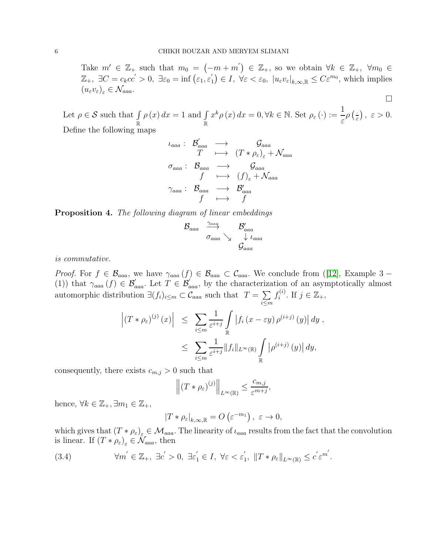Take  $m' \in \mathbb{Z}_+$  such that  $m_0 = (-m+m') \in \mathbb{Z}_+$ , so we obtain  $\forall k \in \mathbb{Z}_+$ ,  $\forall m_0 \in \mathbb{Z}_+$  $\mathbb{Z}_+$ ,  $\exists C = c_k c c' > 0$ ,  $\exists \varepsilon_0 = \inf \left( \varepsilon_1, \varepsilon_1' \right)$  $\mathcal{L}_1$   $\in I$ ,  $\forall \varepsilon < \varepsilon_0$ ,  $|u_{\varepsilon}v_{\varepsilon}|_{k,\infty,\mathbb{R}} \leq C\varepsilon^{m_0}$ , which implies  $(u_{\varepsilon}v_{\varepsilon})_{\varepsilon}\in\mathcal{N}_{aaa}.$ 

 $\Box$ 

Let  $\rho \in \mathcal{S}$  such that  $\int$ R  $\rho(x) dx = 1$  and  $\int$ R  $x^k \rho(x) dx = 0, \forall k \in \mathbb{N}.$  Set  $\rho_{\varepsilon}(\cdot) := \frac{1}{\varepsilon}$  $\rho\left(\frac{1}{\varepsilon}\right)$  $\frac{\cdot}{\varepsilon}$ ,  $\varepsilon > 0$ . Define the following maps

$$
\begin{array}{ccc}\n\iota_{aaa} : & \mathcal{B}'_{aaa} & \longrightarrow & \mathcal{G}_{aaa} \\
T & \longmapsto & (T * \rho_{\varepsilon})_{\varepsilon} + \mathcal{N}_{aaa} \\
\sigma_{aaa} : & \mathcal{B}_{aaa} & \longrightarrow & \mathcal{G}_{aaa} \\
f & \longmapsto & (f)_{\varepsilon} + \mathcal{N}_{aaa} \\
\gamma_{aaa} : & \mathcal{B}_{aaa} & \longrightarrow & \mathcal{B}'_{aaa} \\
f & \longmapsto & f\n\end{array}
$$

Proposition 4. The following diagram of linear embeddings

$$
\mathcal{B}_{aaa} \xrightarrow{\gamma_{aaa}} \mathcal{B}'_{aaaa}
$$
  

$$
\sigma_{aaa} \searrow \qquad \downarrow \qquad \downarrow a_{aaa}
$$
  

$$
\mathcal{G}_{aaa}
$$

is commutative.

*Proof.* For  $f \in \mathcal{B}_{aaa}$ , we have  $\gamma_{aaa}(f) \in \mathcal{B}_{aaa} \subset \mathcal{C}_{aaa}$ . We conclude from ([\[12\]](#page-18-4), Example 3 – (1)) that  $\gamma_{aaa}(f) \in \mathcal{B}_{aaa}'$ . Let  $T \in \mathcal{B}_{aaa}'$ , by the characterization of an asymptotically almost automorphic distribution  $\exists (f_i)_{i \leq m} \subset \mathcal{C}_{aaa}$  such that  $T = \sum$ i≤m  $f_i^{(i)}$  $i^{(i)}$ . If  $j \in \mathbb{Z}_+,$ 

$$
\left| (T * \rho_{\varepsilon})^{(j)}(x) \right| \leq \sum_{i \leq m} \frac{1}{\varepsilon^{i+j}} \int_{\mathbb{R}} \left| f_i(x - \varepsilon y) \rho^{(i+j)}(y) \right| dy,
$$
  

$$
\leq \sum_{i \leq m} \frac{1}{\varepsilon^{i+j}} \| f_i \|_{L^{\infty}(\mathbb{R})} \int_{\mathbb{R}} \left| \rho^{(i+j)}(y) \right| dy,
$$

consequently, there exists  $c_{m,j} > 0$  such that

$$
\left\| (T * \rho_{\varepsilon})^{(j)} \right\|_{L^{\infty}(\mathbb{R})} \le \frac{c_{m,j}}{\varepsilon^{m+j}},
$$

hence,  $\forall k \in \mathbb{Z}_+, \exists m_1 \in \mathbb{Z}_+,$ 

$$
|T * \rho_{\varepsilon}|_{k,\infty,\mathbb{R}} = O\left(\varepsilon^{-m_1}\right), \ \varepsilon \to 0,
$$

which gives that  $(T * \rho_{\varepsilon})_{\varepsilon} \in M_{aaa}$ . The linearity of  $\iota_{aaa}$  results from the fact that the convolution is linear. If  $(T * \rho_{\varepsilon})_{\varepsilon} \in \mathcal{N}_{aaa}$ , then

<span id="page-5-0"></span>(3.4) 
$$
\forall m' \in \mathbb{Z}_+, \exists c' > 0, \exists \varepsilon_1' \in I, \forall \varepsilon < \varepsilon_1', \|T * \rho_{\varepsilon}\|_{L^{\infty}(\mathbb{R})} \leq c' \varepsilon^{m'}.
$$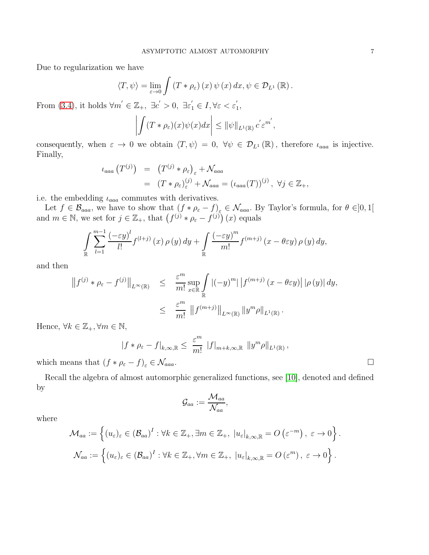Due to regularization we have

$$
\langle T, \psi \rangle = \lim_{\varepsilon \to 0} \int \left( T * \rho_{\varepsilon} \right) (x) \psi (x) dx, \psi \in \mathcal{D}_{L^{1}} (\mathbb{R}).
$$

From [\(3.4\)](#page-5-0), it holds  $\forall m' \in \mathbb{Z}_+$ ,  $\exists c' > 0$ ,  $\exists \varepsilon_1' \in I$ ,  $\forall \varepsilon < \varepsilon_1'$  $_{1}^{\prime},$ 

$$
\left| \int (T * \rho_{\varepsilon})(x) \psi(x) dx \right| \leq ||\psi||_{L^{1}(\mathbb{R})} c' \varepsilon^{m'},
$$

consequently, when  $\varepsilon \to 0$  we obtain  $\langle T, \psi \rangle = 0$ ,  $\forall \psi \in \mathcal{D}_{L^1}(\mathbb{R})$ , therefore  $\iota_{aaa}$  is injective. Finally,

$$
\begin{array}{rcl}\n\iota_{aaa} (T^{(j)}) & = & (T^{(j)} \ast \rho_{\varepsilon})_{\varepsilon} + \mathcal{N}_{aaa} \\
& = & (T \ast \rho_{\varepsilon})_{\varepsilon}^{(j)} + \mathcal{N}_{aaa} = (\iota_{aaa}(T))^{(j)}, \ \forall j \in \mathbb{Z}_{+},\n\end{array}
$$

i.e. the embedding  $\iota_{aaa}$  commutes with derivatives.

Let  $f \in \mathcal{B}_{aaa}$ , we have to show that  $(f * \rho_{\varepsilon} - f)_{\varepsilon} \in \mathcal{N}_{aaa}$ . By Taylor's formula, for  $\theta \in ]0,1[$ and  $m \in \mathbb{N}$ , we set for  $j \in \mathbb{Z}_+$ , that  $(f^{(j)} * \rho_{\varepsilon} - f^{(j)})$   $(x)$  equals

$$
\int_{\mathbb{R}} \sum_{l=1}^{m-1} \frac{\left(-\varepsilon y\right)^l}{l!} f^{(l+j)}\left(x\right) \rho\left(y\right) dy + \int_{\mathbb{R}} \frac{\left(-\varepsilon y\right)^m}{m!} f^{(m+j)}\left(x - \theta \varepsilon y\right) \rho\left(y\right) dy,
$$

and then

$$
\|f^{(j)} * \rho_{\varepsilon} - f^{(j)}\|_{L^{\infty}(\mathbb{R})} \leq \frac{\varepsilon^m}{m!} \sup_{x \in \mathbb{R}} \int_{\mathbb{R}} |(-y)^m| |f^{(m+j)} (x - \theta \varepsilon y)| |\rho (y)| dy,
$$
  

$$
\leq \frac{\varepsilon^m}{m!} \|f^{(m+j)}\|_{L^{\infty}(\mathbb{R})} \|y^m \rho\|_{L^1(\mathbb{R})}.
$$

Hence,  $\forall k \in \mathbb{Z}_+, \forall m \in \mathbb{N},$ 

$$
|f * \rho_{\varepsilon} - f|_{k,\infty,\mathbb{R}} \leq \frac{\varepsilon^m}{m!} |f|_{m+k,\infty,\mathbb{R}} \|y^m \rho\|_{L^1(\mathbb{R})},
$$

which means that  $(f * \rho_{\varepsilon} - f)_{\varepsilon} \in \mathcal{N}_{aaa}$ .

Recall the algebra of almost automorphic generalized functions, see [\[10\]](#page-18-13), denoted and defined by

$$
\mathcal{G}_{aa}:=\frac{\mathcal{M}_{aa}}{\mathcal{N}_{aa}},
$$

where

$$
\mathcal{M}_{aa} := \left\{ (u_{\varepsilon})_{\varepsilon} \in (\mathcal{B}_{aa})^I : \forall k \in \mathbb{Z}_+, \exists m \in \mathbb{Z}_+, \ |u_{\varepsilon}|_{k,\infty,\mathbb{R}} = O\left(\varepsilon^{-m}\right), \ \varepsilon \to 0 \right\}.
$$
  

$$
\mathcal{N}_{aa} := \left\{ (u_{\varepsilon})_{\varepsilon} \in (\mathcal{B}_{aa})^I : \forall k \in \mathbb{Z}_+, \forall m \in \mathbb{Z}_+, \ |u_{\varepsilon}|_{k,\infty,\mathbb{R}} = O\left(\varepsilon^m\right), \ \varepsilon \to 0 \right\}.
$$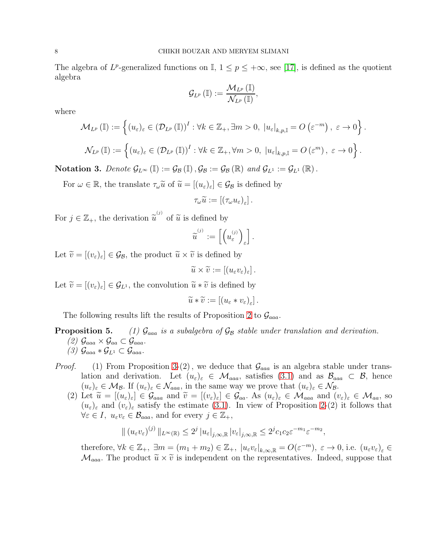The algebra of  $L^p$ -generalized functions on I,  $1 \leq p \leq +\infty$ , see [\[17\]](#page-18-14), is defined as the quotient algebra

$$
\mathcal{G}_{L^p}\left({\Bbb I}\right):=\frac{\mathcal{M}_{L^p}\left({\Bbb I}\right)}{\mathcal{N}_{L^p}\left({\Bbb I}\right)},
$$

where

$$
\mathcal{M}_{L^{p}}\left(\mathbb{I}\right) := \left\{(u_{\varepsilon})_{\varepsilon} \in \left(\mathcal{D}_{L^{p}}\left(\mathbb{I}\right)\right)^{I} : \forall k \in \mathbb{Z}_{+}, \exists m > 0, \ |u_{\varepsilon}|_{k,p,\mathbb{I}} = O\left(\varepsilon^{-m}\right), \ \varepsilon \to 0\right\}.
$$

$$
\mathcal{N}_{L^{p}}\left(\mathbb{I}\right) := \left\{(u_{\varepsilon})_{\varepsilon} \in \left(\mathcal{D}_{L^{p}}\left(\mathbb{I}\right)\right)^{I} : \forall k \in \mathbb{Z}_{+}, \forall m > 0, \ |u_{\varepsilon}|_{k,p,\mathbb{I}} = O\left(\varepsilon^{m}\right), \ \varepsilon \to 0\right\}.
$$

Notation 3. Denote  $\mathcal{G}_{L^{\infty}}(\mathbb{I}) := \mathcal{G}_{\mathcal{B}}(\mathbb{I}), \mathcal{G}_{\mathcal{B}} := \mathcal{G}_{\mathcal{B}}(\mathbb{R})$  and  $\mathcal{G}_{L^1} := \mathcal{G}_{L^1}(\mathbb{R})$ .

For  $\omega \in \mathbb{R}$ , the translate  $\tau_{\omega} \tilde{u}$  of  $\tilde{u} = [(u_{\varepsilon})_{\varepsilon}] \in \mathcal{G}_{\mathcal{B}}$  is defined by

$$
\tau_\omega \widetilde{u} := \left[ \left( \tau_\omega u_\varepsilon \right)_\varepsilon \right].
$$

For  $j \in \mathbb{Z}_+$ , the derivation  $\widetilde{u}^{(j)}$  of  $\widetilde{u}$  is defined by

$$
\widetilde{\boldsymbol{u}}^{^{(j)}} := \left[ \left( \boldsymbol{u}_\varepsilon^{^{(j)}} \right)_\varepsilon \right].
$$

Let  $\widetilde{v} = [(v_{\varepsilon})_{\varepsilon}] \in \mathcal{G}_{\mathcal{B}}$ , the product  $\widetilde{u} \times \widetilde{v}$  is defined by

$$
\widetilde{u}\times\widetilde{v}:=\left[(u_{\varepsilon}v_{\varepsilon})_{\varepsilon}\right].
$$

Let  $\widetilde{v} = [(v_{\varepsilon})_{\varepsilon}] \in \mathcal{G}_{L^1}$ , the convolution  $\widetilde{u} * \widetilde{v}$  is defined by

$$
\widetilde{u} * \widetilde{v} := \left[ \left( u_{\varepsilon} * v_{\varepsilon} \right)_{\varepsilon} \right].
$$

The following results lift the results of Proposition 2 to  $\mathcal{G}_{aaa}$ .

# **Proposition 5.** (1)  $\mathcal{G}_{aaa}$  is a subalgebra of  $\mathcal{G}_{\mathcal{B}}$  stable under translation and derivation. (2)  $\mathcal{G}_{aaa} \times \mathcal{G}_{aa} \subset \mathcal{G}_{aaa}.$  $(3)$   $\mathcal{G}_{aaa} * \mathcal{G}_{L^1} \subset \mathcal{G}_{aaa}.$

- *Proof.* (1) From Proposition 3-(2), we deduce that  $\mathcal{G}_{aaa}$  is an algebra stable under translation and derivation. Let  $(u_{\varepsilon})_{\varepsilon} \in \mathcal{M}_{aaa}$ , satisfies [\(3.1\)](#page-4-0) and as  $\mathcal{B}_{aaa} \subset \mathcal{B}$ , hence  $(u_{\varepsilon})_{\varepsilon} \in \mathcal{M}_{\mathcal{B}}$ . If  $(u_{\varepsilon})_{\varepsilon} \in \mathcal{N}_{aaa}$ , in the same way we prove that  $(u_{\varepsilon})_{\varepsilon} \in \mathcal{N}_{\mathcal{B}}$ .
	- (2) Let  $\widetilde{u} = [(u_{\varepsilon})_{\varepsilon}] \in \mathcal{G}_{aaa}$  and  $\widetilde{v} = [(v_{\varepsilon})_{\varepsilon}] \in \mathcal{G}_{aa}$ . As  $(u_{\varepsilon})_{\varepsilon} \in \mathcal{M}_{aaa}$  and  $(v_{\varepsilon})_{\varepsilon} \in \mathcal{M}_{aa}$ , so  $(u_{\varepsilon})_{\varepsilon}$  and  $(v_{\varepsilon})_{\varepsilon}$  satisfy the estimate [\(3.1\)](#page-4-0). In view of Proposition 2-(2) it follows that  $\forall \varepsilon \in I, u_{\varepsilon}v_{\varepsilon} \in \mathcal{B}_{aaa}$ , and for every  $j \in \mathbb{Z}_+,$

$$
\| (u_{\varepsilon}v_{\varepsilon})^{(j)} \|_{L^{\infty}(\mathbb{R})} \leq 2^{j} |u_{\varepsilon}|_{j,\infty,\mathbb{R}} |v_{\varepsilon}|_{j,\infty,\mathbb{R}} \leq 2^{j} c_1 c_2 \varepsilon^{-m_1} \varepsilon^{-m_2},
$$

therefore,  $\forall k \in \mathbb{Z}_+$ ,  $\exists m = (m_1 + m_2) \in \mathbb{Z}_+$ ,  $|u_{\varepsilon}v_{\varepsilon}|_{k,\infty,\mathbb{R}} = O(\varepsilon^{-m})$ ,  $\varepsilon \to 0$ , i.e.  $(u_{\varepsilon}v_{\varepsilon})_{\varepsilon} \in$  $\mathcal{M}_{aaa}$ . The product  $\widetilde{u} \times \widetilde{v}$  is independent on the representatives. Indeed, suppose that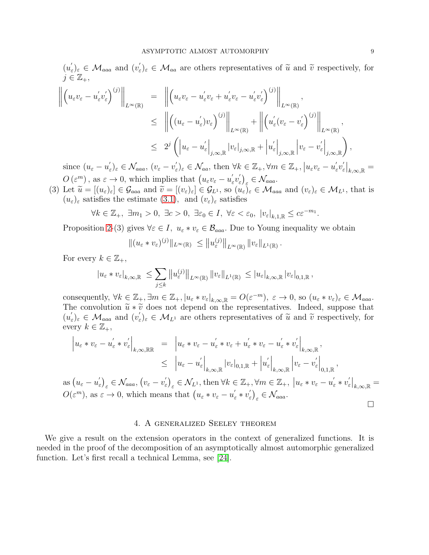$(u'_{\epsilon})$  $(\epsilon')_{\varepsilon} \in \mathcal{M}_{aaa}$  and  $(v'_{\varepsilon})$  $(\widetilde{\epsilon})_{\varepsilon} \in \mathcal{M}_{aa}$  are others representatives of  $\widetilde{u}$  and  $\widetilde{v}$  respectively, for  $j\in\mathbb{Z}_{+},$ 

$$
\left\| \left( u_{\varepsilon} v_{\varepsilon} - u'_{\varepsilon} v'_{\varepsilon} \right)^{(j)} \right\|_{L^{\infty}(\mathbb{R})} = \left\| \left( u_{\varepsilon} v_{\varepsilon} - u'_{\varepsilon} v_{\varepsilon} + u'_{\varepsilon} v_{\varepsilon} - u'_{\varepsilon} v'_{\varepsilon} \right)^{(j)} \right\|_{L^{\infty}(\mathbb{R})},
$$
  
\n
$$
\leq \left\| \left( (u_{\varepsilon} - u'_{\varepsilon}) v_{\varepsilon} \right)^{(j)} \right\|_{L^{\infty}(\mathbb{R})} + \left\| \left( u'_{\varepsilon} (v_{\varepsilon} - v'_{\varepsilon}) \right)^{(j)} \right\|_{L^{\infty}(\mathbb{R})},
$$
  
\n
$$
\leq 2^{j} \left( \left| u_{\varepsilon} - u'_{\varepsilon} \right|_{j, \infty, \mathbb{R}} |v_{\varepsilon}|_{j, \infty, \mathbb{R}} + \left| u'_{\varepsilon} \right|_{j, \infty, \mathbb{R}} \left| v_{\varepsilon} - v'_{\varepsilon} \right|_{j, \infty, \mathbb{R}} \right),
$$

since  $(u_{\varepsilon} - u_{\varepsilon}')$  $(\mathcal{C}_{\varepsilon})_{\varepsilon} \in \mathcal{N}_{aaa}, (v_{\varepsilon} - v_{\varepsilon}')$  $\mathcal{L}'_{\varepsilon})_{\varepsilon} \in \mathcal{N}_{aa}$ , then  $\forall k \in \mathbb{Z}_+, \forall m \in \mathbb{Z}_+, |u_{\varepsilon}v_{\varepsilon} - u'_{\varepsilon}|$  $\int_{\varepsilon}^{\prime}v_{\varepsilon}'$  $\left. \frac{\delta}{\varepsilon} \right|_{k,\infty,\mathbb{R}} =$  $O(\varepsilon^m)$ , as  $\varepsilon \to 0$ , which implies that  $(u_\varepsilon v_\varepsilon - u'_\varepsilon)$  $\int_{\varepsilon}^{\prime}v_{\varepsilon}'$  $\left( \frac{\zeta}{\varepsilon} \right)_\varepsilon \in \mathcal{N}_{aaa}.$ 

(3) Let  $\widetilde{u} = [(u_{\varepsilon})_{\varepsilon}] \in \mathcal{G}_{aaa}$  and  $\widetilde{v} = [(v_{\varepsilon})_{\varepsilon}] \in \mathcal{G}_{L^1}$ , so  $(u_{\varepsilon})_{\varepsilon} \in \mathcal{M}_{aaa}$  and  $(v_{\varepsilon})_{\varepsilon} \in \mathcal{M}_{L^1}$ , that is  $(u_{\varepsilon})_{\varepsilon}$  satisfies the estimate [\(3](#page-4-0).1), and  $(v_{\varepsilon})_{\varepsilon}$  satisfies

$$
\forall k \in \mathbb{Z}_+, \ \exists m_1 > 0, \ \exists c > 0, \ \exists \varepsilon_0 \in I, \ \forall \varepsilon < \varepsilon_0, \ |v_{\varepsilon}|_{k,1,\mathbb{R}} \le c \varepsilon^{-m_1}.
$$

Proposition 2-(3) gives  $\forall \varepsilon \in I$ ,  $u_{\varepsilon} * v_{\varepsilon} \in \mathcal{B}_{aaa}$ . Due to Young inequality we obtain

$$
\|(u_{\varepsilon} * v_{\varepsilon})^{(j)}\|_{L^{\infty}(\mathbb{R})} \leq \|u_{\varepsilon}^{(j)}\|_{L^{\infty}(\mathbb{R})} \|v_{\varepsilon}\|_{L^{1}(\mathbb{R})}.
$$

For every  $k \in \mathbb{Z}_+,$ 

$$
|u_{\varepsilon} * v_{\varepsilon}|_{k,\infty,\mathbb{R}} \leq \sum_{j \leq k} ||u_{\varepsilon}^{(j)}||_{L^{\infty}(\mathbb{R})} ||v_{\varepsilon}||_{L^{1}(\mathbb{R})} \leq |u_{\varepsilon}|_{k,\infty,\mathbb{R}} |v_{\varepsilon}|_{0,1,\mathbb{R}},
$$

consequently,  $\forall k \in \mathbb{Z}_+$ ,  $\exists m \in \mathbb{Z}_+$ ,  $|u_{\varepsilon} * v_{\varepsilon}|_{k,\infty,\mathbb{R}} = O(\varepsilon^{-m})$ ,  $\varepsilon \to 0$ , so  $(u_{\varepsilon} * v_{\varepsilon})_{\varepsilon} \in \mathcal{M}_{aaa}$ . The convolution  $\tilde{u} * \tilde{v}$  does not depend on the representatives. Indeed, suppose that  $(u'_{\epsilon})$  $(\epsilon')_{\varepsilon} \in \mathcal{M}_{aaa}$  and  $(v'_{\varepsilon})$  $\widetilde{z}_{\varepsilon}\}_{\varepsilon} \in \mathcal{M}_{L^1}$  are others representatives of  $\widetilde{u}$  and  $\widetilde{v}$  respectively, for every  $k \in \mathbb{Z}_+,$ 

$$
\begin{aligned}\n\left| u_{\varepsilon} * v_{\varepsilon} - u_{\varepsilon}' * v_{\varepsilon}' \right|_{k,\infty,\mathbb{R}\mathbb{R}} &= \left| u_{\varepsilon} * v_{\varepsilon} - u_{\varepsilon}' * v_{\varepsilon} + u_{\varepsilon}' * v_{\varepsilon} - u_{\varepsilon}' * v_{\varepsilon}' \right|_{k,\infty,\mathbb{R}}, \\
&\leq \left| u_{\varepsilon} - u_{\varepsilon}' \right|_{k,\infty,\mathbb{R}} \left| v_{\varepsilon} \right|_{0,1,\mathbb{R}} + \left| u_{\varepsilon}' \right|_{k,\infty,\mathbb{R}} \left| v_{\varepsilon} - v_{\varepsilon}' \right|_{0,1,\mathbb{R}}, \\
\text{as } (u_{\varepsilon} - u_{\varepsilon}')_{\varepsilon} &\in \mathcal{N}_{aaa}, (v_{\varepsilon} - v_{\varepsilon}')_{\varepsilon} \in \mathcal{N}_{L^1}, \text{ then } \forall k \in \mathbb{Z}_+, \forall m \in \mathbb{Z}_+, \left| u_{\varepsilon} * v_{\varepsilon} - u_{\varepsilon}' * v_{\varepsilon}' \right|_{k,\infty,\mathbb{R}} = \\
O(\varepsilon^m), \text{ as } \varepsilon \to 0, \text{ which means that } \left( u_{\varepsilon} * v_{\varepsilon} - u_{\varepsilon}' * v_{\varepsilon}' \right)_{\varepsilon} \in \mathcal{N}_{aaa}. \end{aligned}
$$

# 4. A generalized Seeley theorem

We give a result on the extension operators in the context of generalized functions. It is needed in the proof of the decomposition of an asymptotically almost automorphic generalized function. Let's first recall a technical Lemma, see [\[24\]](#page-18-15).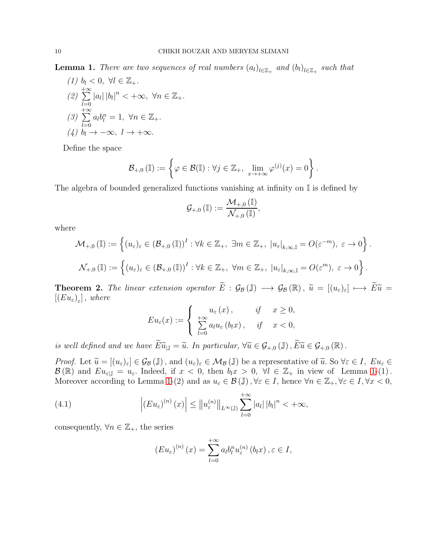<span id="page-9-0"></span>**Lemma 1.** There are two sequences of real numbers  $(a_l)_{l \in \mathbb{Z}_+}$  and  $(b_l)_{l \in \mathbb{Z}_+}$  such that

(1) 
$$
b_l < 0, \forall l \in \mathbb{Z}_+.
$$
  
\n(2)  $\sum_{l=0}^{+\infty} |a_l| |b_l|^n < +\infty, \forall n \in \mathbb{Z}_+.$   
\n(3)  $\sum_{l=0}^{+\infty} a_l b_l^n = 1, \forall n \in \mathbb{Z}_+.$   
\n(4)  $b_l \rightarrow -\infty, l \rightarrow +\infty.$ 

Define the space

$$
\mathcal{B}_{+,0}(\mathbb{I}) := \left\{ \varphi \in \mathcal{B}(\mathbb{I}) : \forall j \in \mathbb{Z}_+, \ \lim_{x \to +\infty} \varphi^{(j)}(x) = 0 \right\}.
$$

The algebra of bounded generalized functions vanishing at infinity on  $\mathbb{I}$  is defined by

$$
\mathcal{G}_{+,0}\left(\mathbb{I}\right):=\frac{\mathcal{M}_{+,0}\left(\mathbb{I}\right)}{\mathcal{N}_{+,0}\left(\mathbb{I}\right)},
$$

where

$$
\mathcal{M}_{+,0}(\mathbb{I}) := \left\{ (u_{\varepsilon})_{\varepsilon} \in (\mathcal{B}_{+,0}(\mathbb{I}))^I : \forall k \in \mathbb{Z}_+, \exists m \in \mathbb{Z}_+, |u_{\varepsilon}|_{k,\infty,\mathbb{I}} = O(\varepsilon^{-m}), \ \varepsilon \to 0 \right\}.
$$
  

$$
\mathcal{N}_{+,0}(\mathbb{I}) := \left\{ (u_{\varepsilon})_{\varepsilon} \in (\mathcal{B}_{+,0}(\mathbb{I}))^I : \forall k \in \mathbb{Z}_+, \ \forall m \in \mathbb{Z}_+, |u_{\varepsilon}|_{k,\infty,\mathbb{I}} = O(\varepsilon^m), \ \varepsilon \to 0 \right\}.
$$

<span id="page-9-2"></span>**Theorem 2.** The linear extension operator  $\widetilde{E}$  :  $\mathcal{G}_{\mathcal{B}}(\mathbb{J}) \longrightarrow \mathcal{G}_{\mathcal{B}}(\mathbb{R})$ ,  $\widetilde{u} = [(u_{\varepsilon})_{\varepsilon}] \longmapsto \widetilde{E}\widetilde{u}$  $[(Eu_{\varepsilon})_{\varepsilon}]$ , where

$$
Eu_{\varepsilon}(x) := \begin{cases} u_{\varepsilon}(x), & \text{if } x \ge 0, \\ \sum_{l=0}^{+\infty} a_l u_{\varepsilon}(b_l x), & \text{if } x < 0, \end{cases}
$$

is well defined and we have  $\widetilde{E} \widetilde{u}_{|\mathbb{J}} = \widetilde{u}$ . In particular,  $\forall \widetilde{u} \in \mathcal{G}_{+,0}(\mathbb{J}), \widetilde{E} \widetilde{u} \in \mathcal{G}_{+,0}(\mathbb{R})$ .

*Proof.* Let  $\widetilde{u} = [(u_{\varepsilon})_{\varepsilon}] \in \mathcal{G}_{\mathcal{B}}(\mathbb{J})$ , and  $(u_{\varepsilon})_{\varepsilon} \in \mathcal{M}_{\mathcal{B}}(\mathbb{J})$  be a representative of  $\widetilde{u}$ . So  $\forall \varepsilon \in I$ ,  $Eu_{\varepsilon} \in$  $\mathcal{B}(\mathbb{R})$  and  $Eu_{\varepsilon,\mathbb{J}} = u_{\varepsilon}$ . Indeed, if  $x < 0$ , then  $b_{\mathbb{I}}x > 0$ ,  $\forall \mathbb{I} \in \mathbb{Z}_+$  in view of Lemma [1-](#page-9-0)(1). Moreover according to Lemma [1-](#page-9-0)(2) and as  $u_{\varepsilon} \in \mathcal{B}(\mathbb{J}), \forall \varepsilon \in I$ , hence  $\forall n \in \mathbb{Z}_+, \forall \varepsilon \in I, \forall x < 0$ ,

(4.1) 
$$
\left| \left( E u_{\varepsilon} \right)^{(n)}(x) \right| \leq \left| \left| u_{\varepsilon}^{(n)} \right| \right|_{L^{\infty}(\mathbb{J})} \sum_{l=0}^{+\infty} \left| a_{l} \right| \left| b_{l} \right|^{n} < +\infty,
$$

consequently,  $\forall n \in \mathbb{Z}_+$ , the series

<span id="page-9-1"></span>
$$
\left( Eu_{\varepsilon}\right)^{(n)}(x) = \sum_{l=0}^{+\infty} a_l b_l^n u_{\varepsilon}^{(n)}(b_l x), \varepsilon \in I,
$$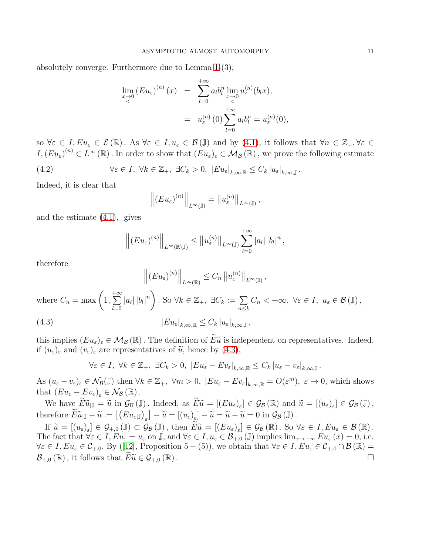absolutely converge. Furthermore due to Lemma [1-](#page-9-0)(3),

$$
\lim_{x \to 0} (E u_{\varepsilon})^{(n)}(x) = \sum_{l=0}^{+\infty} a_l b_l^n \lim_{\substack{x \to 0 \\ < \\ }} u_{\varepsilon}^{(n)}(b_l x),
$$
  

$$
= u_{\varepsilon}^{(n)}(0) \sum_{l=0}^{+\infty} a_l b_l^n = u_{\varepsilon}^{(n)}(0),
$$

so  $\forall \varepsilon \in I, E u_{\varepsilon} \in \mathcal{E}(\mathbb{R})$ . As  $\forall \varepsilon \in I, u_{\varepsilon} \in \mathcal{B}(\mathbb{J})$  and by [\(4](#page-9-1).1), it follows that  $\forall n \in \mathbb{Z}_+, \forall \varepsilon \in I$  $I,(Eu_{\varepsilon})^{(n)} \in L^{\infty}(\mathbb{R})$ . In order to show that  $(Eu_{\varepsilon})_{\varepsilon} \in \mathcal{M}_{\mathcal{B}}(\mathbb{R})$ , we prove the following estimate

(4.2) 
$$
\forall \varepsilon \in I, \ \forall k \in \mathbb{Z}_+, \ \exists C_k > 0, \ |E u_{\varepsilon}|_{k,\infty,\mathbb{R}} \leq C_k |u_{\varepsilon}|_{k,\infty,\mathbb{J}}.
$$

 $\ddot{ }$ 

Indeed, it is clear that

$$
\left\| (Eu_{\varepsilon})^{(n)} \right\|_{L^{\infty}(\mathbb{J})} = \left\| u_{\varepsilon}^{(n)} \right\|_{L^{\infty}(\mathbb{J})},
$$

and the estimate [\(4](#page-9-1).1), gives

$$
\left\| (E u_{\varepsilon})^{(n)} \right\|_{L^{\infty}(\mathbb{R}\setminus\mathbb{J})} \leq \left\| u_{\varepsilon}^{(n)} \right\|_{L^{\infty}(\mathbb{J})} \sum_{l=0}^{+\infty} |a_{l}| |b_{l}|^{n},
$$

therefore

$$
\left\| (E u_{\varepsilon})^{(n)} \right\|_{L^{\infty}(\mathbb{R})} \leq C_n \left\| u_{\varepsilon}^{(n)} \right\|_{L^{\infty}(\mathbb{J})},
$$
  
where  $C_n = \max \left( 1, \sum_{l=0}^{+\infty} |a_l| |b_l|^n \right)$ . So  $\forall k \in \mathbb{Z}_+, \exists C_k := \sum_{n \leq k} C_n < +\infty, \forall \varepsilon \in I, u_{\varepsilon} \in \mathcal{B}(\mathbb{J}),$   
(4.3)  

$$
|E u_{\varepsilon}|_{k,\infty,\mathbb{R}} \leq C_k |u_{\varepsilon}|_{k,\infty,\mathbb{J}},
$$

<span id="page-10-0"></span> $\mathbf{u}$ 

this implies  $(Eu_{\varepsilon})_{\varepsilon} \in \mathcal{M}_{\mathcal{B}}(\mathbb{R})$ . The definition of  $\widetilde{E}\widetilde{u}$  is independent on representatives. Indeed, if  $(u_{\varepsilon})_{\varepsilon}$  and  $(v_{\varepsilon})_{\varepsilon}$  are representatives of  $\tilde{u}$ , hence by [\(4.3\)](#page-10-0),

$$
\forall \varepsilon \in I, \ \forall k \in \mathbb{Z}_+, \ \exists C_k > 0, \ |Eu_{\varepsilon} - Ev_{\varepsilon}|_{k, \infty, \mathbb{R}} \le C_k |u_{\varepsilon} - v_{\varepsilon}|_{k, \infty, \mathbb{J}}.
$$

As  $(u_{\varepsilon}-v_{\varepsilon})_{\varepsilon} \in \mathcal{N}_{\mathcal{B}}(\mathbb{J})$  then  $\forall k \in \mathbb{Z}_+$ ,  $\forall m > 0$ ,  $|Eu_{\varepsilon}-Ev_{\varepsilon}|_{k,\infty,\mathbb{R}} = O(\varepsilon^m)$ ,  $\varepsilon \to 0$ , which shows that  $(Eu_{\varepsilon}-Ev_{\varepsilon})_{\varepsilon} \in \mathcal{N}_{\mathcal{B}}(\mathbb{R})$ .

We have  $E\widetilde{u}_{|\mathbb{J}} = \widetilde{u}$  in  $\mathcal{G}_{\mathcal{B}}(\mathbb{J})$ . Indeed, as  $E\widetilde{u} = [(E u_{\varepsilon})_{\varepsilon}] \in \mathcal{G}_{\mathcal{B}}(\mathbb{R})$  and  $\widetilde{u} = [(u_{\varepsilon})_{\varepsilon}] \in \mathcal{G}_{\mathcal{B}}(\mathbb{J})$ , therefore  $\widetilde{E}\widetilde{u}_{|\mathbb{J}} - \widetilde{u} := \left[ \left( E u_{\varepsilon|\mathbb{J}} \right)_{\varepsilon} \right] - \widetilde{u} = \left[ \left( u_{\varepsilon} \right)_{\varepsilon} \right] - \widetilde{u} = \widetilde{u} - \widetilde{u} = 0$  in  $\mathcal{G}_{\mathcal{B}}(\mathbb{J})$ .

If  $\widetilde{u} = [(u_{\varepsilon})_{\varepsilon}] \in \mathcal{G}_{+,0}(\mathbb{J}) \subset \mathcal{G}_{\mathcal{B}}(\mathbb{J}),$  then  $E\widetilde{u} = [(Eu_{\varepsilon})_{\varepsilon}] \in \mathcal{G}_{\mathcal{B}}(\mathbb{R}).$  So  $\forall \varepsilon \in I, Eu_{\varepsilon} \in \mathcal{B}(\mathbb{R}).$ The fact that  $\forall \varepsilon \in I$ ,  $Eu_{\varepsilon} = u_{\varepsilon}$  on  $\mathbb{J}$ , and  $\forall \varepsilon \in I$ ,  $u_{\varepsilon} \in \mathcal{B}_{+,0}(\mathbb{J})$  implies  $\lim_{x \to +\infty} Eu_{\varepsilon}(x) = 0$ , i.e.  $\forall \varepsilon \in I, E_u_{\varepsilon} \in C_{+,0}$ . By ([\[12\]](#page-18-4), Proposition 5 – (5)), we obtain that  $\forall \varepsilon \in I, E_u_{\varepsilon} \in C_{+,0} \cap \mathcal{B}(\mathbb{R}) =$  $\mathcal{B}_{+,0}(\mathbb{R})$ , it follows that  $E\widetilde{u} \in \mathcal{G}_{+,0}(\mathbb{R})$ .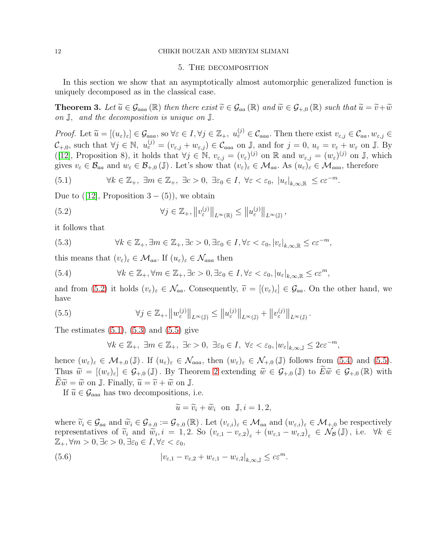### 12 CHIKH BOUZAR AND MERYEM SLIMANI

## 5. The decomposition

In this section we show that an asymptotically almost automorphic generalized function is uniquely decomposed as in the classical case.

**Theorem 3.** Let  $\widetilde{u} \in \mathcal{G}_{aaa}(\mathbb{R})$  then there exist  $\widetilde{v} \in \mathcal{G}_{aa}(\mathbb{R})$  and  $\widetilde{w} \in \mathcal{G}_{+,0}(\mathbb{R})$  such that  $\widetilde{u} = \widetilde{v} + \widetilde{w}$ on J, and the decomposition is unique on J.

Proof. Let  $\widetilde{u} = [(u_{\varepsilon})_{\varepsilon}] \in \mathcal{G}_{aaa}$ , so  $\forall \varepsilon \in I, \forall j \in \mathbb{Z}_+, u_{\varepsilon}^{(j)} \in \mathcal{C}_{aaa}$ . Then there exist  $v_{\varepsilon,j} \in \mathcal{C}_{aa}, w_{\varepsilon,j} \in \mathcal{C}_{aa}$  $\mathcal{C}_{+,0}$ , such that  $\forall j \in \mathbb{N}, u_{\varepsilon}^{(j)} = (v_{\varepsilon,j} + w_{\varepsilon,j}) \in \mathcal{C}_{aaa}$  on J, and for  $j = 0, u_{\varepsilon} = v_{\varepsilon} + w_{\varepsilon}$  on J. By ([\[12\]](#page-18-4), Proposition 8), it holds that  $\forall j \in \mathbb{N}$ ,  $v_{\varepsilon,j} = (v_{\varepsilon})^{(j)}$  on  $\mathbb{R}$  and  $w_{\varepsilon,j} = (w_{\varepsilon})^{(j)}$  on  $\mathbb{J}$ , which gives  $v_{\varepsilon} \in \mathcal{B}_{aa}$  and  $w_{\varepsilon} \in \mathcal{B}_{+,0}(\mathbb{J})$ . Let's show that  $(v_{\varepsilon})_{\varepsilon} \in \mathcal{M}_{aa}$ . As  $(u_{\varepsilon})_{\varepsilon} \in \mathcal{M}_{aaa}$ , therefore

<span id="page-11-1"></span>(5.1) 
$$
\forall k \in \mathbb{Z}_+, \ \exists m \in \mathbb{Z}_+, \ \exists c > 0, \ \exists \varepsilon_0 \in I, \ \forall \varepsilon < \varepsilon_0, \ |u_{\varepsilon}|_{k, \infty, \mathbb{R}} \leq c \varepsilon^{-m}.
$$

Due to  $([12],$  $([12],$  $([12],$  Proposition  $3 - (5)$ , we obtain

<span id="page-11-0"></span>(5.2) 
$$
\forall j \in \mathbb{Z}_+, ||v_{\varepsilon}^{(j)}||_{L^{\infty}(\mathbb{R})} \leq ||u_{\varepsilon}^{(j)}||_{L^{\infty}(\mathbb{J})},
$$

it follows that

<span id="page-11-2"></span>(5.3) 
$$
\forall k \in \mathbb{Z}_+, \exists m \in \mathbb{Z}_+, \exists c > 0, \exists \varepsilon_0 \in I, \forall \varepsilon < \varepsilon_0, |v_{\varepsilon}|_{k, \infty, \mathbb{R}} \le c \varepsilon^{-m},
$$

this means that  $(v_{\varepsilon})_{\varepsilon} \in \mathcal{M}_{aa}$ . If  $(u_{\varepsilon})_{\varepsilon} \in \mathcal{N}_{aaa}$  then

<span id="page-11-4"></span>(5.4) 
$$
\forall k \in \mathbb{Z}_+, \forall m \in \mathbb{Z}_+, \exists c > 0, \exists \varepsilon_0 \in I, \forall \varepsilon < \varepsilon_0, |u_{\varepsilon}|_{k, \infty, \mathbb{R}} \le c\varepsilon^m,
$$

and from [\(5.2\)](#page-11-0) it holds  $(v_{\varepsilon})_{\varepsilon} \in \mathcal{N}_{aa}$ . Consequently,  $\widetilde{v} = [(v_{\varepsilon})_{\varepsilon}] \in \mathcal{G}_{aa}$ . On the other hand, we have

(5.5) 
$$
\forall j \in \mathbb{Z}_+, ||w_{\varepsilon}^{(j)}||_{L^{\infty}(\mathbb{J})} \leq ||u_{\varepsilon}^{(j)}||_{L^{\infty}(\mathbb{J})} + ||v_{\varepsilon}^{(j)}||_{L^{\infty}(\mathbb{J})}.
$$

The estimates  $(5.1)$ ,  $(5.3)$  and  $(5.5)$  give

<span id="page-11-3"></span>
$$
\forall k \in \mathbb{Z}_+, \ \exists m \in \mathbb{Z}_+, \ \exists c > 0, \ \exists \varepsilon_0 \in I, \ \forall \varepsilon < \varepsilon_0, |w_{\varepsilon}|_{k, \infty, \mathbb{J}} \leq 2c \varepsilon^{-m},
$$

hence  $(w_{\varepsilon})_{\varepsilon} \in \mathcal{M}_{+,0}(\mathbb{J})$ . If  $(u_{\varepsilon})_{\varepsilon} \in \mathcal{N}_{aaa}$ , then  $(w_{\varepsilon})_{\varepsilon} \in \mathcal{N}_{+,0}(\mathbb{J})$  follows from  $(5.4)$  and  $(5.5)$ . Thus  $\widetilde{w} = [(w_{\varepsilon})_{\varepsilon}] \in \mathcal{G}_{+,0}(\mathbb{J})$ . By Theorem [2](#page-9-2) extending  $\widetilde{w} \in \mathcal{G}_{+,0}(\mathbb{J})$  to  $E\widetilde{w} \in \mathcal{G}_{+,0}(\mathbb{R})$  with  $E\widetilde{w} = \widetilde{w}$  on J. Finally,  $\widetilde{u} = \widetilde{v} + \widetilde{w}$  on J.

If  $\widetilde{u} \in \mathcal{G}_{aaa}$  has two decompositions, i.e.

<span id="page-11-5"></span>
$$
\widetilde{u} = \widetilde{v}_i + \widetilde{w}_i \quad \text{on} \quad \mathbb{J}, i = 1, 2,
$$

where  $\widetilde{v}_i \in \mathcal{G}_{aa}$  and  $\widetilde{w}_i \in \mathcal{G}_{+,0} := \mathcal{G}_{+,0}(\mathbb{R})$ . Let  $(v_{\varepsilon,i})_{\varepsilon} \in \mathcal{M}_{aa}$  and  $(w_{\varepsilon,i})_{\varepsilon} \in \mathcal{M}_{+,0}$  be respectively representatives of  $\tilde{v}_i$  and  $\tilde{w}_i$ ,  $i = 1, 2$ . So  $(v_{\varepsilon,1} - v_{\varepsilon,2})_\varepsilon + (w_{\varepsilon,1} - w_{\varepsilon,2})_\varepsilon \in \mathcal{N}_\mathcal{B}(\mathbb{J})$ , i.e.  $\forall k \in \mathbb{Z}$  $\mathbb{Z}_+$ ,  $\forall m > 0$ ,  $\exists c > 0$ ,  $\exists \varepsilon_0 \in I$ ,  $\forall \varepsilon < \varepsilon_0$ ,

(5.6) 
$$
\left|v_{\varepsilon,1}-v_{\varepsilon,2}+w_{\varepsilon,1}-w_{\varepsilon,2}\right|_{k,\infty,\mathbb{J}}\leq c\varepsilon^m.
$$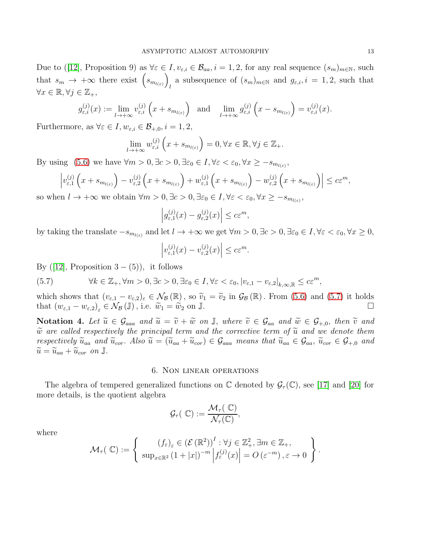Due to ([\[12\]](#page-18-4), Proposition 9) as  $\forall \varepsilon \in I, v_{\varepsilon,i} \in \mathcal{B}_{aa}, i = 1, 2$ , for any real sequence  $(s_m)_{m \in \mathbb{N}}$ , such that  $s_m \to +\infty$  there exist  $(s_{m_{l(\varepsilon)}})$ a subsequence of  $(s_m)_{m \in \mathbb{N}}$  and  $g_{\varepsilon,i}, i = 1, 2$ , such that  $\forall x \in \mathbb{R}, \forall j \in \mathbb{Z}_+,$ 

$$
g_{\varepsilon,i}^{(j)}(x) := \lim_{l \to +\infty} v_{\varepsilon,i}^{(j)}\left(x + s_{m_{l(\varepsilon)}}\right) \text{ and } \lim_{l \to +\infty} g_{\varepsilon,i}^{(j)}\left(x - s_{m_{l(\varepsilon)}}\right) = v_{\varepsilon,i}^{(j)}(x).
$$

Furthermore, as  $\forall \varepsilon \in I, w_{\varepsilon,i} \in \mathcal{B}_{+,0}, i = 1, 2,$ 

$$
\lim_{l \to +\infty} w_{\varepsilon,i}^{(j)}\left(x + s_{m_{l(\varepsilon)}}\right) = 0, \forall x \in \mathbb{R}, \forall j \in \mathbb{Z}_+.
$$

By using  $(5.6)$  we have  $\forall m > 0, \exists c > 0, \exists \varepsilon_0 \in I, \forall \varepsilon < \varepsilon_0, \forall x \geq -s_{m_{l(\varepsilon)}},$ 

$$
\left|v_{\varepsilon,1}^{(j)}\left(x+s_{m_{l(\varepsilon)}}\right)-v_{\varepsilon,2}^{(j)}\left(x+s_{m_{l(\varepsilon)}}\right)+w_{\varepsilon,1}^{(j)}\left(x+s_{m_{l(\varepsilon)}}\right)-w_{\varepsilon,2}^{(j)}\left(x+s_{m_{l(\varepsilon)}}\right)\right|\leq c\varepsilon^m,
$$

so when  $l \to +\infty$  we obtain  $\forall m > 0, \exists c > 0, \exists \varepsilon_0 \in I, \forall \varepsilon < \varepsilon_0, \forall x \geq -s_{m_{l(\varepsilon)}}$ ,

$$
\left| g_{\varepsilon,1}^{(j)}(x) - g_{\varepsilon,2}^{(j)}(x) \right| \le c \varepsilon^m,
$$

by taking the translate  $-s_{m_{l(\varepsilon)}}$  and let  $l \to +\infty$  we get  $\forall m > 0, \exists \varepsilon > 0, \exists \varepsilon_0 \in I, \forall \varepsilon < \varepsilon_0, \forall x \ge 0$ ,

$$
\left|v_{\varepsilon,1}^{(j)}(x)-v_{\varepsilon,2}^{(j)}(x)\right|\leq c\varepsilon^m.
$$

By  $([12]$  $([12]$ , Proposition 3 –  $(5)$ ), it follows

<span id="page-12-0"></span>(5.7) 
$$
\forall k \in \mathbb{Z}_+, \forall m > 0, \exists c > 0, \exists \varepsilon_0 \in I, \forall \varepsilon < \varepsilon_0, |v_{\varepsilon,1} - v_{\varepsilon,2}|_{k,\infty,\mathbb{R}} \leq c\varepsilon^m,
$$

which shows that  $(v_{\varepsilon,1} - v_{\varepsilon,2})_{\varepsilon} \in \mathcal{N}_{\mathcal{B}}(\mathbb{R})$ , so  $\tilde{v}_1 = \tilde{v}_2$  in  $\mathcal{G}_{\mathcal{B}}(\mathbb{R})$ . From [\(5.6\)](#page-11-5) and [\(5.7\)](#page-12-0) it holds that  $(w_{\varepsilon,1} - w_{\varepsilon,2}) \in \mathcal{N}_{\mathcal{B}}(\mathbb{J})$ , i.e.  $\tilde{w}_1 = \tilde{w}_2$  on  $\mathbb{$ that  $(w_{\varepsilon,1} - w_{\varepsilon,2})_{\varepsilon} \in \mathcal{N}_{\mathcal{B}}(\mathbb{J})$ , i.e.  $\widetilde{w}_1 = \widetilde{w}_2$  on  $\mathbb{J}$ .

Notation 4. Let  $\widetilde{u} \in \mathcal{G}_{aaa}$  and  $\widetilde{u} = \widetilde{v} + \widetilde{w}$  on  $\mathbb{J}$ , where  $\widetilde{v} \in \mathcal{G}_{aa}$  and  $\widetilde{w} \in \mathcal{G}_{+,0}$ , then  $\widetilde{v}$  and  $\tilde{w}$  are called respectively the principal term and the corrective term of  $\tilde{u}$  and we denote them respectively  $\widetilde{u}_{aa}$  and  $\widetilde{u}_{cor}$ . Also  $\widetilde{u} = (\widetilde{u}_{aa} + \widetilde{u}_{cor}) \in \mathcal{G}_{aaa}$  means that  $\widetilde{u}_{aa} \in \mathcal{G}_{aa}, \widetilde{u}_{cor} \in \mathcal{G}_{+,0}$  and  $\widetilde{u} = \widetilde{u}_{aa} + \widetilde{u}_{cor}$  on J.

# 6. Non linear operations

The algebra of tempered generalized functions on  $\mathbb C$  denoted by  $\mathcal{G}_{\tau}(\mathbb C)$ , see [\[17\]](#page-18-14) and [\[20\]](#page-18-12) for more details, is the quotient algebra

$$
\mathcal{G}_{\tau}(\mathbb{C}):=\frac{\mathcal{M}_{\tau}(\mathbb{C})}{\mathcal{N}_{\tau}(\mathbb{C})},
$$

where

$$
\mathcal{M}_{\tau}(\mathbb{C}) := \left\{ \begin{array}{c} \left(f_{\varepsilon}\right)_{\varepsilon} \in \left(\mathcal{E}\left(\mathbb{R}^{2}\right)\right)^{I} : \forall j \in \mathbb{Z}_{+}^{2}, \exists m \in \mathbb{Z}_{+}, \\ \sup_{x \in \mathbb{R}^{2}} \left(1 + |x|\right)^{-m} \left|f_{\varepsilon}^{(j)}(x)\right| = O\left(\varepsilon^{-m}\right), \varepsilon \to 0 \end{array} \right\}.
$$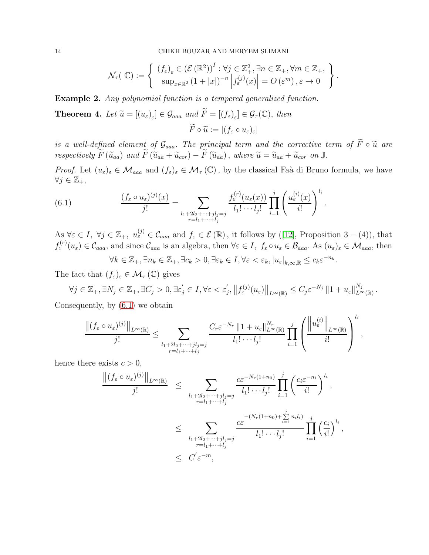14 CHIKH BOUZAR AND MERYEM SLIMANI

$$
\mathcal{N}_{\tau}(\mathbb{C}) := \left\{ \begin{array}{c} (f_{\varepsilon})_{\varepsilon} \in (\mathcal{E}(\mathbb{R}^2))^I : \forall j \in \mathbb{Z}_+^2, \exists n \in \mathbb{Z}_+, \forall m \in \mathbb{Z}_+, \\ \sup_{x \in \mathbb{R}^2} (1+|x|)^{-n} \left| f_{\varepsilon}^{(j)}(x) \right| = O\left(\varepsilon^m\right), \varepsilon \to 0 \end{array} \right\}.
$$

Example 2. Any polynomial function is a tempered generalized function.

**Theorem 4.** Let  $\widetilde{u} = [(u_{\varepsilon})_{\varepsilon}] \in \mathcal{G}_{aaa}$  and  $F = [(f_{\varepsilon})_{\varepsilon}] \in \mathcal{G}_{\tau}(\mathbb{C}),$  then  $\widetilde{F}\circ \widetilde{u}:=[(f_{\varepsilon}\circ u_{\varepsilon})_{\varepsilon}]$ 

is a well-defined element of  $\mathcal{G}_{aaa}$ . The principal term and the corrective term of  $\widetilde{F} \circ \widetilde{u}$  are respectively  $\widetilde{F}(\widetilde{u}_{aa})$  and  $\widetilde{F}(\widetilde{u}_{aa} + \widetilde{u}_{cor}) - \widetilde{F}(\widetilde{u}_{aa})$ , where  $\widetilde{u} = \widetilde{u}_{aa} + \widetilde{u}_{cor}$  on  $\mathbb{J}$ .

*Proof.* Let  $(u_{\varepsilon})_{\varepsilon} \in \mathcal{M}_{aaa}$  and  $(f_{\varepsilon})_{\varepsilon} \in \mathcal{M}_{\tau}(\mathbb{C})$ , by the classical Faà di Bruno formula, we have  $\forall j \in \mathbb{Z}_+,$ 

<span id="page-13-0"></span>(6.1) 
$$
\frac{(f_{\varepsilon} \circ u_{\varepsilon})^{(j)}(x)}{j!} = \sum_{\substack{l_1+2l_2+\cdots+jl_j=j\\r=l_1+\cdots+l_j}} \frac{f_{\varepsilon}^{(r)}(u_{\varepsilon}(x))}{l_1!\cdots l_j!} \prod_{i=1}^j \left(\frac{u_{\varepsilon}^{(i)}(x)}{i!}\right)^{l_i}.
$$

As  $\forall \varepsilon \in I, \ \forall j \in \mathbb{Z}_+, \ u_{\varepsilon}^{(j)} \in \mathcal{C}_{aaa}$  and  $f_{\varepsilon} \in \mathcal{E}(\mathbb{R})$ , it follows by ([\[12\]](#page-18-4), Proposition 3 – (4)), that  $f_{\varepsilon}^{(r)}(u_{\varepsilon}) \in \mathcal{C}_{aaa}$ , and since  $\mathcal{C}_{aaa}$  is an algebra, then  $\forall \varepsilon \in I$ ,  $f_{\varepsilon} \circ u_{\varepsilon} \in \mathcal{B}_{aaa}$ . As  $(u_{\varepsilon})_{\varepsilon} \in \mathcal{M}_{aaa}$ , then  $\forall k \in \mathbb{Z}_+, \exists n_k \in \mathbb{Z}_+, \exists c_k > 0, \exists \varepsilon_k \in I, \forall \varepsilon < \varepsilon_k, |u_{\varepsilon}|_{k,\infty,\mathbb{R}} \le c_k \varepsilon^{-n_k}.$ 

The fact that  $(f_{\varepsilon})_{\varepsilon} \in \mathcal{M}_{\tau}(\mathbb{C})$  gives

$$
\forall j \in \mathbb{Z}_+, \exists N_j \in \mathbb{Z}_+, \exists C_j > 0, \exists \varepsilon'_j \in I, \forall \varepsilon < \varepsilon'_j, \left\| f^{(j)}_{\varepsilon}(u_{\varepsilon}) \right\|_{L^{\infty}(\mathbb{R})} \leq C_j \varepsilon^{-N_j} \left\| 1 + u_{\varepsilon} \right\|_{L^{\infty}(\mathbb{R})}^{N_j}.
$$

Consequently, by [\(6.1\)](#page-13-0) we obtain

$$
\frac{\left\|\left(f_{\varepsilon}\circ u_{\varepsilon}\right)^{(j)}\right\|_{L^{\infty}(\mathbb{R})}}{j!}\leq \sum_{\substack{l_1+2l_2+\cdots+l_j\\r=l_1+\cdots+l_j}}\frac{C_r\varepsilon^{-N_r}\left\|1+u_{\varepsilon}\right\|_{L^{\infty}(\mathbb{R})}^{N_r}}{l_1!\cdots l_j!}\prod_{i=1}^j\left(\frac{\left\|u_{\varepsilon}^{(i)}\right\|_{L^{\infty}(\mathbb{R})}}{i!}\right)^{l_i},
$$

li

hence there exists  $c > 0$ ,

$$
\frac{\left\|\left(f_{\varepsilon} \circ u_{\varepsilon}\right)^{(j)}\right\|_{L^{\infty}(\mathbb{R})}}{j!} \leq \sum_{\substack{l_1+2l_2+\cdots+l_j \\ r=l_1+\cdots+l_j}} \frac{c\varepsilon^{-N_r(1+n_0)}}{l_1!\cdots l_j!} \prod_{i=1}^j \left(\frac{c_i \varepsilon^{-n_i}}{i!}\right)^{l_i},
$$
  

$$
\leq \sum_{\substack{l_1+2l_2+\cdots+l_j \\ r=l_1+\cdots+l_j}} \frac{c\varepsilon^{-(N_r(1+n_0)+\sum\limits_{i=1}^j n_i l_i)}}{l_1!\cdots l_j!} \prod_{i=1}^j \left(\frac{c_i}{i!}\right)^{l_i},
$$
  

$$
\leq C' \varepsilon^{-m},
$$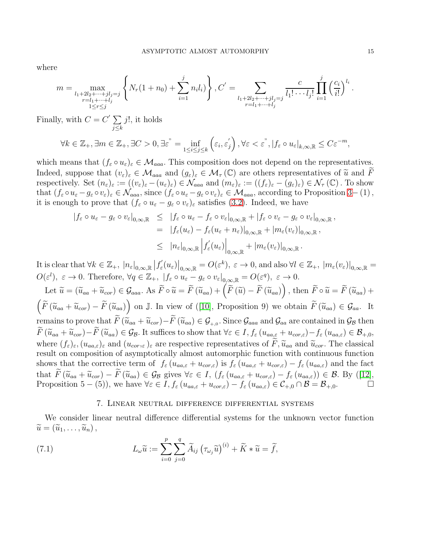where

$$
m = \max_{\substack{l_1+2l_2+\cdots+jl_j=j\\r=l_1+\cdots+l_j\\1\leq r\leq j}}\left\{N_r(1+n_0)+\sum_{i=1}^j n_il_i)\right\}, C^{'} = \sum_{\substack{l_1+2l_2+\cdots+jl_j=j\\r=l_1+\cdots+l_j}}\frac{c}{l_1!\cdots l_j!}\prod_{i=1}^j\left(\frac{c_i}{i!}\right)^{l_i}.
$$

Finally, with  $C = C' \sum$  $j \leq k$  $j!$ , it holds

$$
\forall k \in \mathbb{Z}_{+}, \exists m \in \mathbb{Z}_{+}, \exists C > 0, \exists \varepsilon \check{z} = \inf_{1 \leq i \leq j \leq k} \left( \varepsilon_{i}, \varepsilon_{j}' \right), \forall \varepsilon < \varepsilon \check{z}, |f_{\varepsilon} \circ u_{\varepsilon}|_{k, \infty, \mathbb{R}} \leq C \varepsilon^{-m},
$$

which means that  $(f_{\varepsilon} \circ u_{\varepsilon})_{\varepsilon} \in \mathcal{M}_{aaa}$ . This composition does not depend on the representatives. Indeed, suppose that  $(v_{\varepsilon})_{\varepsilon} \in \mathcal{M}_{aaa}$  and  $(g_{\varepsilon})_{\varepsilon} \in \mathcal{M}_{\tau}(\mathbb{C})$  are others representatives of  $\widetilde{u}$  and  $\widetilde{F}$ respectively. Set  $(n_{\varepsilon})_{\varepsilon} := ((v_{\varepsilon})_{\varepsilon} - (u_{\varepsilon})_{\varepsilon}) \in \mathcal{N}_{aaa}$  and  $(m_{\varepsilon})_{\varepsilon} := ((f_{\varepsilon})_{\varepsilon} - (g_{\varepsilon})_{\varepsilon}) \in \mathcal{N}_{\tau}(\mathbb{C})$ . To show that  $(f_{\varepsilon} \circ u_{\varepsilon} - g_{\varepsilon} \circ v_{\varepsilon})_{\varepsilon} \in \mathcal{N}_{aaa}$ , since  $(f_{\varepsilon} \circ u_{\varepsilon} - g_{\varepsilon} \circ v_{\varepsilon})_{\varepsilon} \in \mathcal{M}_{aaa}$ , according to Proposition 3–(1), it is enough to prove that  $(f_{\varepsilon} \circ u_{\varepsilon} - g_{\varepsilon} \circ v_{\varepsilon})_{\varepsilon}$  satisfies [\(3.2\)](#page-4-1). Indeed, we have

$$
\begin{array}{rcl}\n| f_{\varepsilon} \circ u_{\varepsilon} - g_{\varepsilon} \circ v_{\varepsilon}|_{0,\infty,\mathbb{R}} & \leq & | f_{\varepsilon} \circ u_{\varepsilon} - f_{\varepsilon} \circ v_{\varepsilon}|_{0,\infty,\mathbb{R}} + | f_{\varepsilon} \circ v_{\varepsilon} - g_{\varepsilon} \circ v_{\varepsilon}|_{0,\infty,\mathbb{R}} \\
& = & | f_{\varepsilon}(u_{\varepsilon}) - f_{\varepsilon}(u_{\varepsilon} + n_{\varepsilon})|_{0,\infty,\mathbb{R}} + |m_{\varepsilon}(v_{\varepsilon})|_{0,\infty,\mathbb{R}} \\
& \leq & | n_{\varepsilon}|_{0,\infty,\mathbb{R}} \left| f_{\varepsilon}'(u_{\varepsilon}) \right|_{0,\infty,\mathbb{R}} + |m_{\varepsilon}(v_{\varepsilon})|_{0,\infty,\mathbb{R}}.\n\end{array}
$$

It is clear that  $\forall k \in \mathbb{Z}_+$ ,  $|n_{\varepsilon}|_{0,\infty,\mathbb{R}}$   $|f_{\varepsilon}'|$  $\left.\mathcal{E}_{\varepsilon}'(u_{\varepsilon})\right|_{0,\infty,\mathbb{R}}=O(\varepsilon^{k}),\ \varepsilon\to 0,$  and also  $\forall l\in\mathbb{Z}_{+},\ |m_{\varepsilon}(v_{\varepsilon})|_{0,\infty,\mathbb{R}}=0$  $O(\varepsilon^l), \varepsilon \to 0.$  Therefore,  $\forall q \in \mathbb{Z}_+, \ |f_{\varepsilon} \circ u_{\varepsilon} - g_{\varepsilon} \circ v_{\varepsilon}|_{0,\infty,\mathbb{R}} = O(\varepsilon^q), \ \varepsilon \to 0.$ 

Let  $\widetilde{u} = (\widetilde{u}_{aa} + \widetilde{u}_{cor}) \in \mathcal{G}_{aaa}$ . As  $\widetilde{F} \circ \widetilde{u} = \widetilde{F}(\widetilde{u}_{aa}) + (\widetilde{F}(\widetilde{u}) - \widetilde{F}(\widetilde{u}_{aa}))$ , then  $\widetilde{F} \circ \widetilde{u} = \widetilde{F}(\widetilde{u}_{aa}) +$  $\left(\widetilde{F}(\widetilde{u}_{aa} + \widetilde{u}_{cor}) - \widetilde{F}(\widetilde{u}_{aa})\right)$  on J. In view of ([\[10\]](#page-18-13), Proposition 9) we obtain  $\widetilde{F}(\widetilde{u}_{aa}) \in \mathcal{G}_{aa}$ . It remains to prove that  $F(\widetilde{u}_{aa} + \widetilde{u}_{cor}) - F(\widetilde{u}_{aa}) \in \mathcal{G}_{+,0}$ . Since  $\mathcal{G}_{aaa}$  and  $\mathcal{G}_{aa}$  are contained in  $\mathcal{G}_{\mathcal{B}}$  then  $\widetilde{F}(\widetilde{u}_{aa} + \widetilde{u}_{cor}) - \widetilde{F}(\widetilde{u}_{aa}) \in \mathcal{G}_{\mathcal{B}}$ . It suffices to show that  $\forall \varepsilon \in I, f_{\varepsilon} (u_{aa,\varepsilon} + u_{cor,\varepsilon}) - f_{\varepsilon} (u_{aa,\varepsilon}) \in \mathcal{B}_{+,0}$ , where  $(f_{\varepsilon})_{\varepsilon},(u_{aa,\varepsilon})_{\varepsilon}$  and  $(u_{cor,\varepsilon})_{\varepsilon}$  are respective representatives of  $\widetilde{F},\widetilde{u}_{aa}$  and  $\widetilde{u}_{cor}$ . The classical result on composition of asymptotically almost automorphic function with continuous function shows that the corrective term of  $f_{\varepsilon} (u_{aa,\varepsilon} + u_{cor,\varepsilon})$  is  $f_{\varepsilon} (u_{aa,\varepsilon} + u_{cor,\varepsilon}) - f_{\varepsilon} (u_{aa,\varepsilon})$  and the fact that  $\widetilde{F}(\widetilde{u}_{aa} + \widetilde{u}_{cor}) - \widetilde{F}(\widetilde{u}_{aa}) \in \mathcal{G}_{\mathcal{B}}$  gives  $\forall \varepsilon \in I$ ,  $(f_{\varepsilon}(u_{aa,\varepsilon} + u_{cor,\varepsilon}) - f_{\varepsilon}(u_{aa,\varepsilon})) \in \mathcal{B}$ . By ([\[12\]](#page-18-4),<br>Proposition 5 – (5)), we have  $\forall \varepsilon \in I$ ,  $f_{\varepsilon}(u_{aa,\varepsilon} + u_{cor,\varepsilon}) - f_{\varepsilon$ Proposition 5 − (5)), we have  $\forall \varepsilon \in I$ ,  $f_{\varepsilon} (u_{aa,\varepsilon} + u_{cor,\varepsilon}) - f_{\varepsilon} (u_{aa,\varepsilon}) \in C_{+,0} \cap \mathcal{B} = \mathcal{B}_{+,0}$ .

### <span id="page-14-0"></span>7. Linear neutral difference differential systems

We consider linear neutral difference differential systems for the unknown vector function  $\widetilde{u} = (\widetilde{u}_1, \ldots, \widetilde{u}_n),$ 

(7.1) 
$$
L_{\omega}\widetilde{u} := \sum_{i=0}^{p} \sum_{j=0}^{q} \widetilde{A}_{ij} \left(\tau_{\omega_j}\widetilde{u}\right)^{(i)} + \widetilde{K} * \widetilde{u} = \widetilde{f},
$$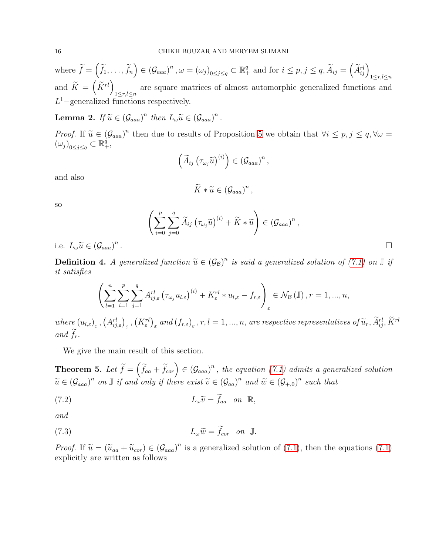where  $\widetilde{f} = (\widetilde{f}_1, \ldots, \widetilde{f}_n) \in (\mathcal{G}_{aaa})^n$ ,  $\omega = (\omega_j)_{0 \leq j \leq q} \subset \mathbb{R}^q_+$  and for  $i \leq p, j \leq q$ ,  $\widetilde{A}_{ij} = (\widetilde{A}_{ij}^{rl})_{1 \leq r,l \leq n}$ and  $\widetilde{K} = \left(\widetilde{K}^{rl}\right)_{1 \leq r,l \leq n}$  are square matrices of almost automorphic generalized functions and  $L<sup>1</sup>$  –generalized functions respectively.

**Lemma 2.** If  $\widetilde{u} \in (\mathcal{G}_{aaa})^n$  then  $L_{\omega}\widetilde{u} \in (\mathcal{G}_{aaa})^n$ .

Proof. If  $\tilde{u} \in (\mathcal{G}_{aaa})^n$  then due to results of Proposition 5 we obtain that  $\forall i \leq p, j \leq q, \forall \omega =$  $(\omega_j)_{0 \leq j \leq q} \subset \mathbb{R}^q_+,$ 

$$
\left(\widetilde{A}_{ij}\left(\tau_{\omega_j}\widetilde{u}\right)^{(i)}\right)\in\left(\mathcal{G}_{aaa}\right)^n,
$$

and also

$$
\widetilde{K} * \widetilde{u} \in (\mathcal{G}_{aaa})^n,
$$

so

$$
\left(\sum_{i=0}^p\sum_{j=0}^q\widetilde{A}_{ij}\left(\tau_{\omega_j}\widetilde{u}\right)^{(i)}+\widetilde{K}\ast\widetilde{u}\right)\in\left(\mathcal{G}_{aaa}\right)^n,
$$

i.e.  $L_{\omega}\widetilde{u} \in (\mathcal{G}_{aaa})^n$ 

**Definition 4.** A generalized function  $\widetilde{u} \in (\mathcal{G}_{\mathcal{B}})^n$  is said a generalized solution of [\(7.1\)](#page-14-0) on  $\mathbb{J}$  if it exists  $\mathbb{S}_{\mathcal{B}}$ it satisfies

$$
\left(\sum_{l=1}^{n}\sum_{i=1}^{p}\sum_{j=1}^{q}A_{ij,\varepsilon}^{rl}\left(\tau_{\omega_{j}}u_{l,\varepsilon}\right)^{(i)} + K_{\varepsilon}^{rl} * u_{l,\varepsilon} - f_{r,\varepsilon}\right)_{\varepsilon} \in \mathcal{N}_{\mathcal{B}}\left(\mathbb{J}\right), r = 1, ..., n,
$$

where  $(u_{l,\varepsilon})_{\varepsilon}$ ,  $(A_{ij,\varepsilon}^{rl})_{\varepsilon}$ ,  $(K_{\varepsilon}^{rl})_{\varepsilon}$  and  $(f_{r,\varepsilon})_{\varepsilon}$ ,  $r,l=1,...,n$ , are respective representatives of  $\widetilde{u}_r$ ,  $\widetilde{A}_{ij}^{rl}$ ,  $\widetilde{K}^{rl}$ and  $f_r$ .

We give the main result of this section.

<span id="page-15-2"></span>**Theorem 5.** Let  $\widetilde{f} = (\widetilde{f}_{aa} + \widetilde{f}_{cor}) \in (G_{aaa})^n$ , the equation [\(7.1\)](#page-14-0) admits a generalized solution  $\widetilde{u} \in (\mathcal{G}_{aaa})^n$  on  $\mathbb{J}$  if and only if there exist  $\widetilde{v} \in (\mathcal{G}_{aa})^n$  and  $\widetilde{w} \in (\mathcal{G}_{+,0})^n$  such that

<span id="page-15-0"></span>(7.2) 
$$
L_{\omega}\widetilde{v} = \widetilde{f}_{aa} \quad on \quad \mathbb{R},
$$

and

<span id="page-15-1"></span>(7.3) 
$$
L_{\omega}\widetilde{w} = \widetilde{f}_{cor} \quad on \quad \mathbb{J}.
$$

*Proof.* If  $\tilde{u} = (\tilde{u}_{aa} + \tilde{u}_{cor}) \in (\mathcal{G}_{aaa})^n$  is a generalized solution of [\(7.1\)](#page-14-0), then the equations (7.1) constraints are mitten as follows. explicitly are written as follows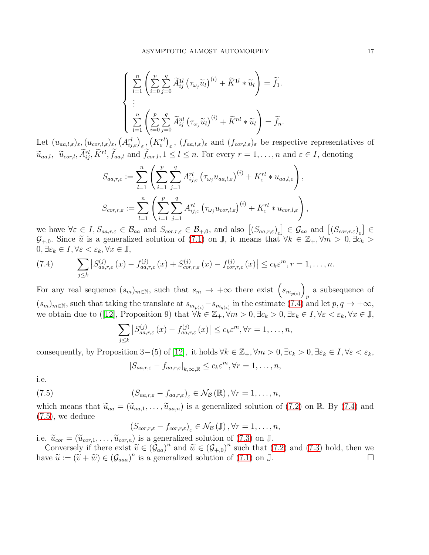$$
\begin{cases}\n\sum_{l=1}^{n} \left( \sum_{i=0}^{p} \sum_{j=0}^{q} \widetilde{A}_{ij}^{1l} \left( \tau_{\omega_{j}} \widetilde{u}_{l} \right)^{(i)} + \widetilde{K}^{1l} * \widetilde{u}_{l} \right) = \widetilde{f}_{1} . \\
\vdots \\
\sum_{l=1}^{n} \left( \sum_{i=0}^{p} \sum_{j=0}^{q} \widetilde{A}_{ij}^{nl} \left( \tau_{\omega_{j}} \widetilde{u}_{l} \right)^{(i)} + \widetilde{K}^{nl} * \widetilde{u}_{l} \right) = \widetilde{f}_{n} .\n\end{cases}
$$

Let  $(u_{aa,l,\varepsilon})_{\varepsilon}, (u_{cor,l,\varepsilon})_{\varepsilon}, (A^{rl}_{ij,\varepsilon})_{\varepsilon}, (K^{rl}_{\varepsilon})_{\varepsilon}, (f_{aa,l,\varepsilon})_{\varepsilon}$  and  $(f_{cor,l,\varepsilon})_{\varepsilon}$  be respective representatives of  $\widetilde{u}_{aa,l}, \ \widetilde{u}_{cor,l}, \widetilde{A}_{ij}^{rl}, \widetilde{K}^{rl}, \widetilde{f}_{aa,l} \text{ and } \widetilde{f}_{cor,l}, 1 \leq l \leq n. \text{ For every } r = 1, \ldots, n \text{ and } \varepsilon \in I, \text{ denoting }$ 

$$
S_{aa,r,\varepsilon} := \sum_{l=1}^n \left( \sum_{i=1}^p \sum_{j=1}^q A_{ij,\varepsilon}^{rl} \left( \tau_{\omega_j} u_{aa,l,\varepsilon} \right)^{(i)} + K_{\varepsilon}^{rl} * u_{aa,l,\varepsilon} \right),
$$
  

$$
S_{cor,r,\varepsilon} := \sum_{l=1}^n \left( \sum_{i=1}^p \sum_{j=1}^q A_{ij,\varepsilon}^{rl} \left( \tau_{\omega_j} u_{cor,l,\varepsilon} \right)^{(i)} + K_{\varepsilon}^{rl} * u_{cor,l,\varepsilon} \right),
$$

we have  $\forall \varepsilon \in I, S_{aa,r,\varepsilon} \in \mathcal{B}_{aa}$  and  $S_{cor,r,\varepsilon} \in \mathcal{B}_{+,0}$ , and also  $[(S_{aa,r,\varepsilon})_{\varepsilon}] \in \mathcal{G}_{aa}$  and  $[(S_{cor,r,\varepsilon})_{\varepsilon}] \in$  $\mathcal{G}_{+,0}$ . Since  $\widetilde{u}$  is a generalized solution of [\(7.1\)](#page-14-0) on J, it means that  $\forall k \in \mathbb{Z}_+$ ,  $\forall m > 0$ ,  $\exists c_k >$  $0, \exists \varepsilon_k \in I, \forall \varepsilon < \varepsilon_k, \forall x \in \mathbb{J},$ 

<span id="page-16-0"></span>(7.4) 
$$
\sum_{j\leq k} \left| S_{aa,r,\varepsilon}^{(j)}(x) - f_{aa,r,\varepsilon}^{(j)}(x) + S_{cor,r,\varepsilon}^{(j)}(x) - f_{cor,r,\varepsilon}^{(j)}(x) \right| \leq c_k \varepsilon^m, r = 1,\ldots,n.
$$

For any real sequence  $(s_m)_{m\in\mathbb{N}}$ , such that  $s_m \to +\infty$  there exist  $(s_{m_{p(\varepsilon)}})$ p a subsequence of  $(s_m)_{m\in\mathbb{N}}$ , such that taking the translate at  $s_{m_{p(\varepsilon)}}-s_{m_{q(\varepsilon)}}$  in the estimate [\(7.4\)](#page-16-0) and let  $p, q \to +\infty$ , we obtain due to ([\[12\]](#page-18-4), Proposition 9) that  $\forall k \in \mathbb{Z}_+$ ,  $\forall m > 0$ ,  $\exists c_k > 0$ ,  $\exists \varepsilon_k \in I$ ,  $\forall \varepsilon < \varepsilon_k$ ,  $\forall x \in \mathbb{J}$ ,

$$
\sum_{j\leq k} \left| S_{aa,r,\varepsilon}^{(j)}(x) - f_{aa,r,\varepsilon}^{(j)}(x) \right| \leq c_k \varepsilon^m, \forall r = 1,\ldots,n,
$$

consequently, by Proposition 3–(5) of [\[12\]](#page-18-4), it holds  $\forall k \in \mathbb{Z}_+$ ,  $\forall m > 0$ ,  $\exists c_k > 0$ ,  $\exists \varepsilon_k \in I$ ,  $\forall \varepsilon < \varepsilon_k$ ,

<span id="page-16-1"></span>
$$
|S_{aa,r,\varepsilon}-f_{aa,r,\varepsilon}|_{k,\infty,\mathbb{R}}\leq c_k\varepsilon^m, \forall r=1,\ldots,n,
$$

i.e.

(7.5) 
$$
(S_{aa,r,\varepsilon}-f_{aa,r,\varepsilon})_{\varepsilon}\in\mathcal{N}_{\mathcal{B}}(\mathbb{R}),\forall r=1,\ldots,n,
$$

which means that  $\tilde{u}_{aa} = (\tilde{u}_{aa,1}, \ldots, \tilde{u}_{aa,n})$  is a generalized solution of [\(7.2\)](#page-15-0) on R. By [\(7.4\)](#page-16-0) and [\(7.5\)](#page-16-1), we deduce

$$
\left(S_{cor,r,\varepsilon}-f_{cor,r,\varepsilon}\right)_{\varepsilon}\in\mathcal{N}_{\mathcal{B}}\left(\mathbb{J}\right),\forall r=1,\ldots,n,
$$

i.e.  $\widetilde{u}_{cor} = (\widetilde{u}_{cor,1}, \ldots, \widetilde{u}_{cor,n})$  is a generalized solution of [\(7.3\)](#page-15-1) on J.

Conversely if there exist  $\widetilde{v} \in (\mathcal{G}_{aa})^n$  and  $\widetilde{w} \in (\mathcal{G}_{+,0})^n$  such that [\(7.2\)](#page-15-0) and [\(7.3\)](#page-15-1) hold, then we have  $\tilde{u} := (\tilde{v} + \tilde{w}) \in (\mathcal{G}_{aaa})^n$  is a generalized solution of [\(7.1\)](#page-14-0) on  $\mathbb{J}$ .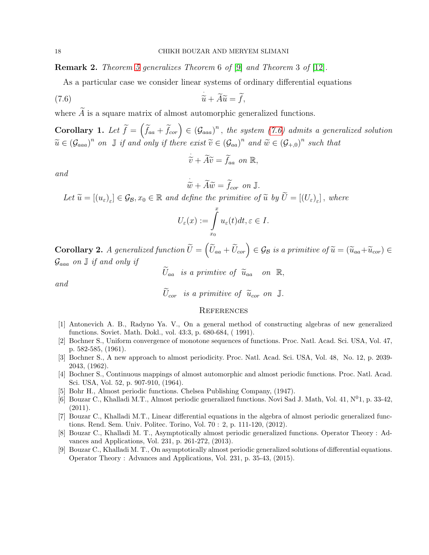Remark 2. Theorem [5](#page-15-2) generalizes Theorem 6 of [\[9\]](#page-17-8) and Theorem 3 of [\[12\]](#page-18-4).

As a particular case we consider linear systems of ordinary differential equations

(7.6) 
$$
\tilde{u} + \tilde{A}\tilde{u} = \tilde{f},
$$

where  $\widetilde{A}$  is a square matrix of almost automorphic generalized functions.

**Corollary 1.** Let  $\widetilde{f} = (\widetilde{f}_{aa} + \widetilde{f}_{cor}) \in (G_{aaa})^n$ , the system [\(7.6\)](#page-17-9) admits a generalized solution  $\widetilde{u} \in (\mathcal{G}_{aaa})^n$  on  $\mathbb J$  if and only if there exist  $\widetilde{v} \in (\mathcal{G}_{aa})^n$  and  $\widetilde{w} \in (\mathcal{G}_{+,0})^n$  such that

<span id="page-17-9"></span>
$$
\dot{\widetilde{v}} + \widetilde{A}\widetilde{v} = \widetilde{f}_{aa} \text{ on } \mathbb{R},
$$

and

$$
\widetilde{w} + \widetilde{A}\widetilde{w} = \widetilde{f}_{cor} \text{ on } \mathbb{J}.
$$

Let  $\widetilde{u} = [(u_{\varepsilon})_{\varepsilon}] \in \mathcal{G}_{\mathcal{B}}, x_0 \in \mathbb{R}$  and define the primitive of  $\widetilde{u}$  by  $U = [(U_{\varepsilon})_{\varepsilon}]$ , where

$$
U_{\varepsilon}(x) := \int_{x_0}^x u_{\varepsilon}(t)dt, \varepsilon \in I.
$$

**Corollary 2.** A generalized function  $\widetilde{U} = (\widetilde{U}_{aa} + \widetilde{U}_{cor}) \in \mathcal{G}_{\mathcal{B}}$  is a primitive of  $\widetilde{u} = (\widetilde{u}_{aa} + \widetilde{u}_{cor}) \in$  $\mathcal{G}_{aaa}$  on  $\mathbb J$  if and only if

$$
U_{aa} \ \ is \ a \ \ primitive \ \ of \ \ \widetilde{u}_{aa} \quad on \ \ \mathbb{R},
$$

and

$$
U_{cor} \ \ is \ a \ primitive \ of \ \ \widetilde{u}_{cor} \ on \ \ \mathbb{J}.
$$

### **REFERENCES**

- <span id="page-17-4"></span>[1] Antonevich A. B., Radyno Ya. V., On a general method of constructing algebras of new generalized functions. Soviet. Math. Dokl., vol. 43:3, p. 680-684, ( 1991).
- <span id="page-17-0"></span>[2] Bochner S., Uniform convergence of monotone sequences of functions. Proc. Natl. Acad. Sci. USA, Vol. 47, p. 582-585, (1961).
- <span id="page-17-2"></span>[3] Bochner S., A new approach to almost periodicity. Proc. Natl. Acad. Sci. USA, Vol. 48, No. 12, p. 2039- 2043, (1962).
- <span id="page-17-1"></span>[4] Bochner S., Continuous mappings of almost automorphic and almost periodic functions. Proc. Natl. Acad. Sci. USA, Vol. 52, p. 907-910, (1964).
- <span id="page-17-5"></span><span id="page-17-3"></span>[5] Bohr H., Almost periodic functions. Chelsea Publishing Company, (1947).
- [6] Bouzar C., Khalladi M.T., Almost periodic generalized functions. Novi Sad J. Math, Vol. 41,  $N^0$ 1, p. 33-42, (2011).
- <span id="page-17-6"></span>[7] Bouzar C., Khalladi M.T., Linear differential equations in the algebra of almost periodic generalized functions. Rend. Sem. Univ. Politec. Torino, Vol. 70 : 2, p. 111-120, (2012).
- <span id="page-17-7"></span>[8] Bouzar C., Khalladi M. T., Asymptotically almost periodic generalized functions. Operator Theory : Advances and Applications, Vol. 231, p. 261-272, (2013).
- <span id="page-17-8"></span>[9] Bouzar C., Khalladi M. T., On asymptotically almost periodic generalized solutions of differential equations. Operator Theory : Advances and Applications, Vol. 231, p. 35-43, (2015).